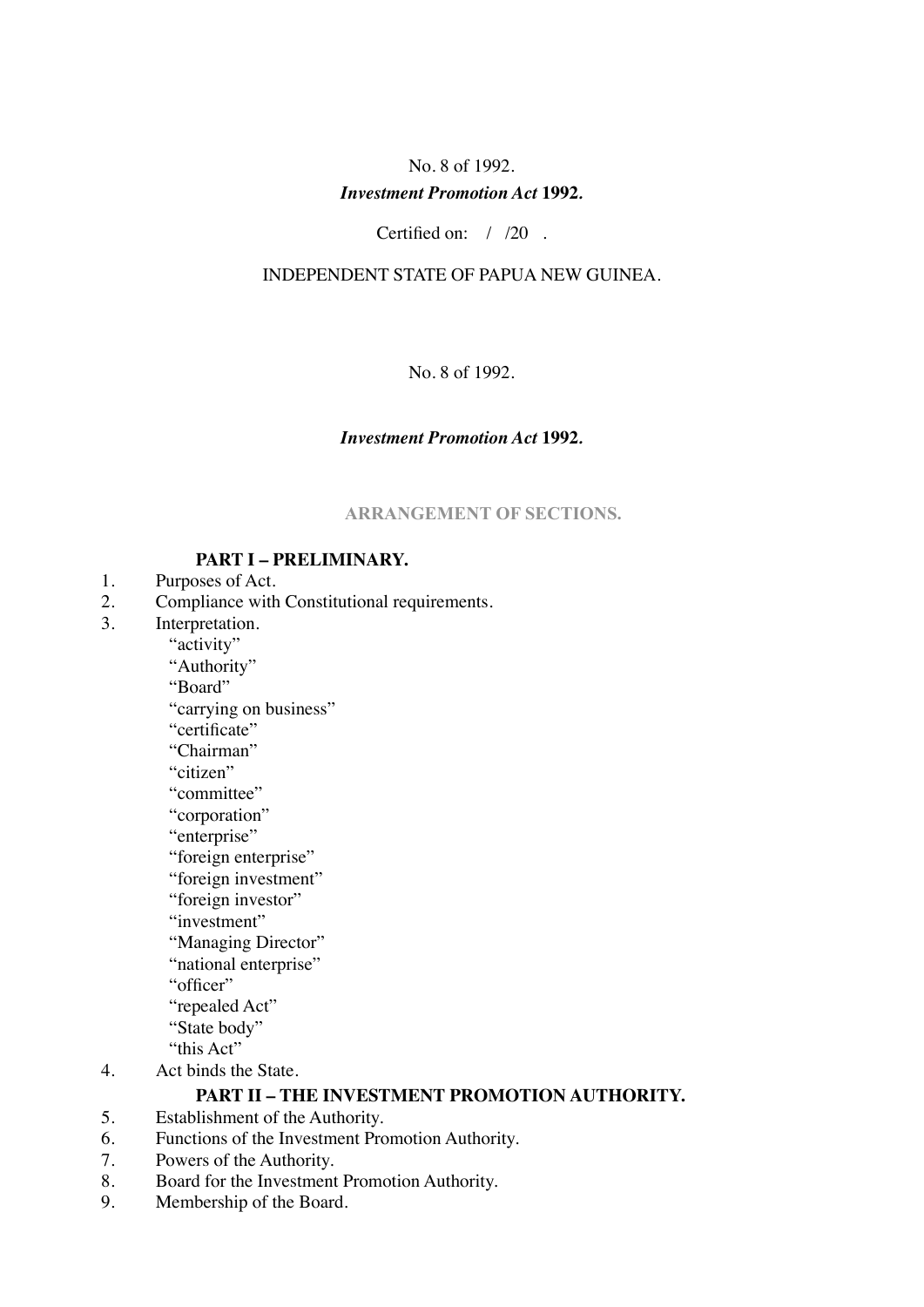# No. 8 of 1992. *Investment Promotion Act* **1992***.*

Certified on: / /20 .

## INDEPENDENT STATE OF PAPUA NEW GUINEA.

No. 8 of 1992.

## *Investment Promotion Act* **1992***.*

## **ARRANGEMENT OF SECTIONS.**

## **PART I – PRELIMINARY.**

- 1. Purposes of Act.
- 2. Compliance with Constitutional requirements.
- 3. Interpretation.

"activity"

"Authority"

"Board"

"carrying on business"

"certificate"

"Chairman"

"citizen"

- "committee"
- "corporation"
- "enterprise"
- "foreign enterprise"
- "foreign investment"
- "foreign investor"
- "investment"
- "Managing Director"
- "national enterprise"
- "officer"
- "repealed Act"
- "State body"
- "this Act"
- 4. Act binds the State.

# **PART II – THE INVESTMENT PROMOTION AUTHORITY.**

- 5. Establishment of the Authority.
- 6. Functions of the Investment Promotion Authority.
- 7. Powers of the Authority.
- 8. Board for the Investment Promotion Authority.
- 9. Membership of the Board.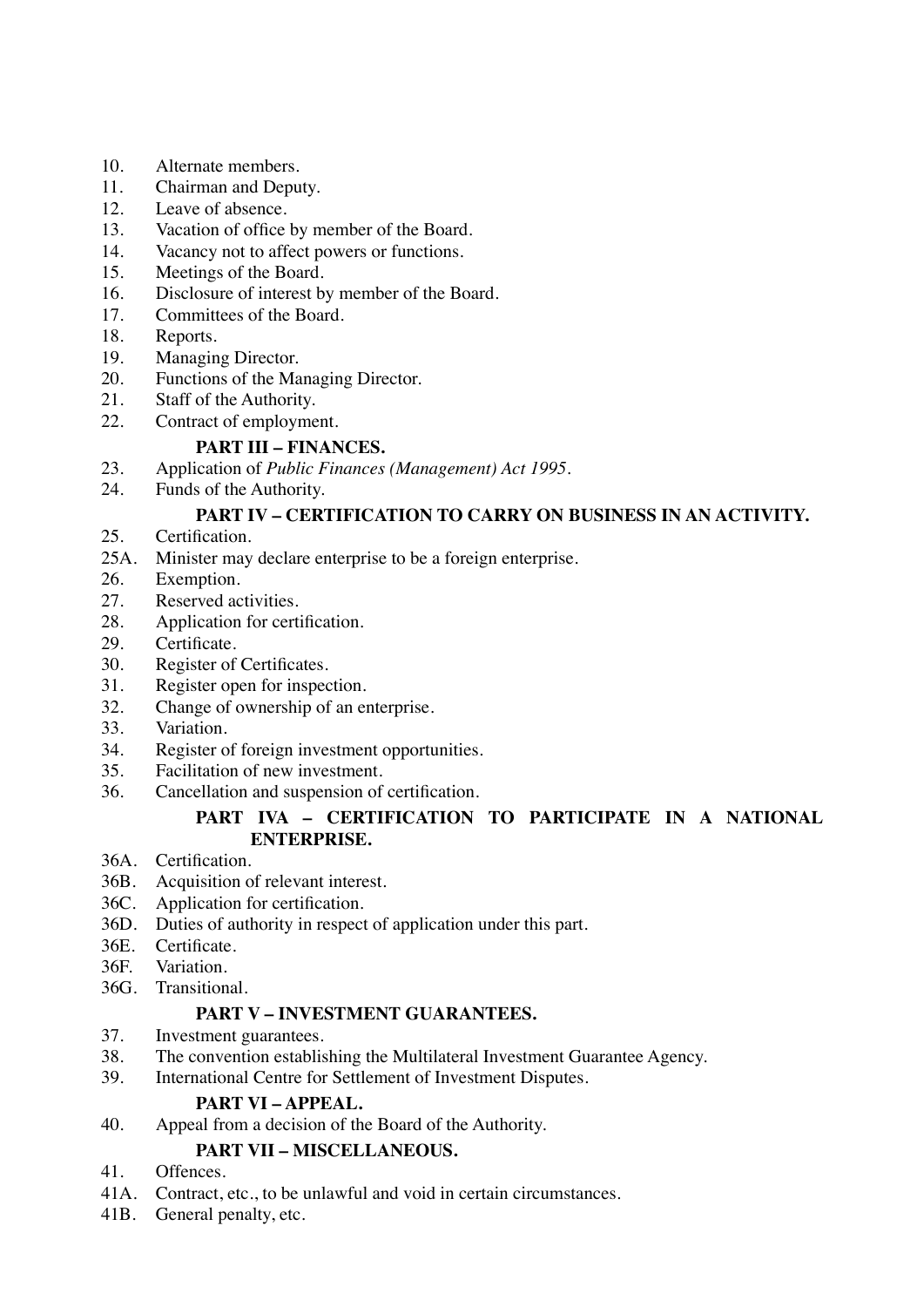- 10. Alternate members.
- 11. Chairman and Deputy.
- 12. Leave of absence.
- 13. Vacation of office by member of the Board.
- 14. Vacancy not to affect powers or functions.
- 15. Meetings of the Board.
- 16. Disclosure of interest by member of the Board.
- 17. Committees of the Board.
- 18. Reports.
- 19. Managing Director.
- 20. Functions of the Managing Director.
- 21. Staff of the Authority.
- 22. Contract of employment.

## **PART III – FINANCES.**

- 23. Application of *Public Finances (Management) Act 1995*.
- 24. Funds of the Authority.

## **PART IV – CERTIFICATION TO CARRY ON BUSINESS IN AN ACTIVITY.**

- 25. Certification.
- 25A. Minister may declare enterprise to be a foreign enterprise.
- 26. Exemption.
- 27. Reserved activities.
- 28. Application for certification.
- 29. Certificate.
- 30. Register of Certificates.<br>31. Register open for inspec
- Register open for inspection.
- 32. Change of ownership of an enterprise.
- 33. Variation.
- 34. Register of foreign investment opportunities.
- 35. Facilitation of new investment.
- 36. Cancellation and suspension of certification.

## **PART IVA – CERTIFICATION TO PARTICIPATE IN A NATIONAL ENTERPRISE.**

- 36A. Certification.
- 36B. Acquisition of relevant interest.
- 36C. Application for certification.
- 36D. Duties of authority in respect of application under this part.
- 36E. Certificate.
- 36F. Variation.
- 36G. Transitional.

## **PART V – INVESTMENT GUARANTEES.**

- 37. Investment guarantees.
- 38. The convention establishing the Multilateral Investment Guarantee Agency.
- 39. International Centre for Settlement of Investment Disputes.

## **PART VI – APPEAL.**

40. Appeal from a decision of the Board of the Authority.

## **PART VII – MISCELLANEOUS.**

- 41. Offences.
- 41A. Contract, etc., to be unlawful and void in certain circumstances.
- 41B. General penalty, etc.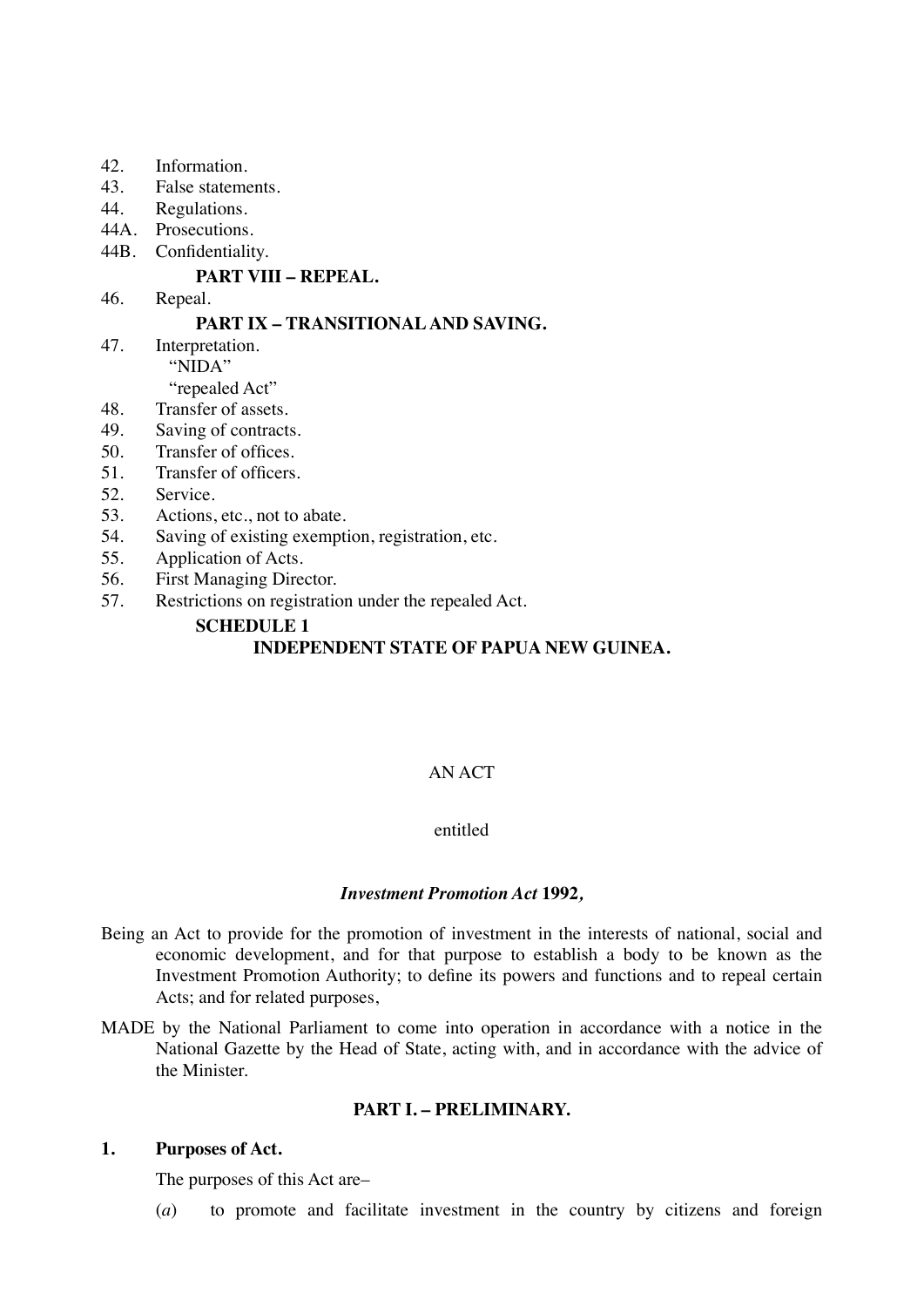- 42. Information.
- 43. False statements.
- 44. Regulations.
- 44A. Prosecutions.
- 44B. Confidentiality.

#### **PART VIII – REPEAL.**

46. Repeal.

#### **PART IX – TRANSITIONAL AND SAVING.**

47. Interpretation. "NIDA"

- "repealed Act"
- 48. Transfer of assets.
- 49. Saving of contracts.
- 50. Transfer of offices.
- 51. Transfer of officers.
- 52. Service.
- 53. Actions, etc., not to abate.
- 54. Saving of existing exemption, registration, etc.
- 55. Application of Acts.
- 56. First Managing Director.
- 57. Restrictions on registration under the repealed Act.

## **SCHEDULE 1**

## **INDEPENDENT STATE OF PAPUA NEW GUINEA.**

## AN ACT

### entitled

#### *Investment Promotion Act* **1992***,*

- Being an Act to provide for the promotion of investment in the interests of national, social and economic development, and for that purpose to establish a body to be known as the Investment Promotion Authority; to define its powers and functions and to repeal certain Acts; and for related purposes,
- MADE by the National Parliament to come into operation in accordance with a notice in the National Gazette by the Head of State, acting with, and in accordance with the advice of the Minister.

#### **PART I. – PRELIMINARY.**

#### **1. Purposes of Act.**

The purposes of this Act are–

(*a*) to promote and facilitate investment in the country by citizens and foreign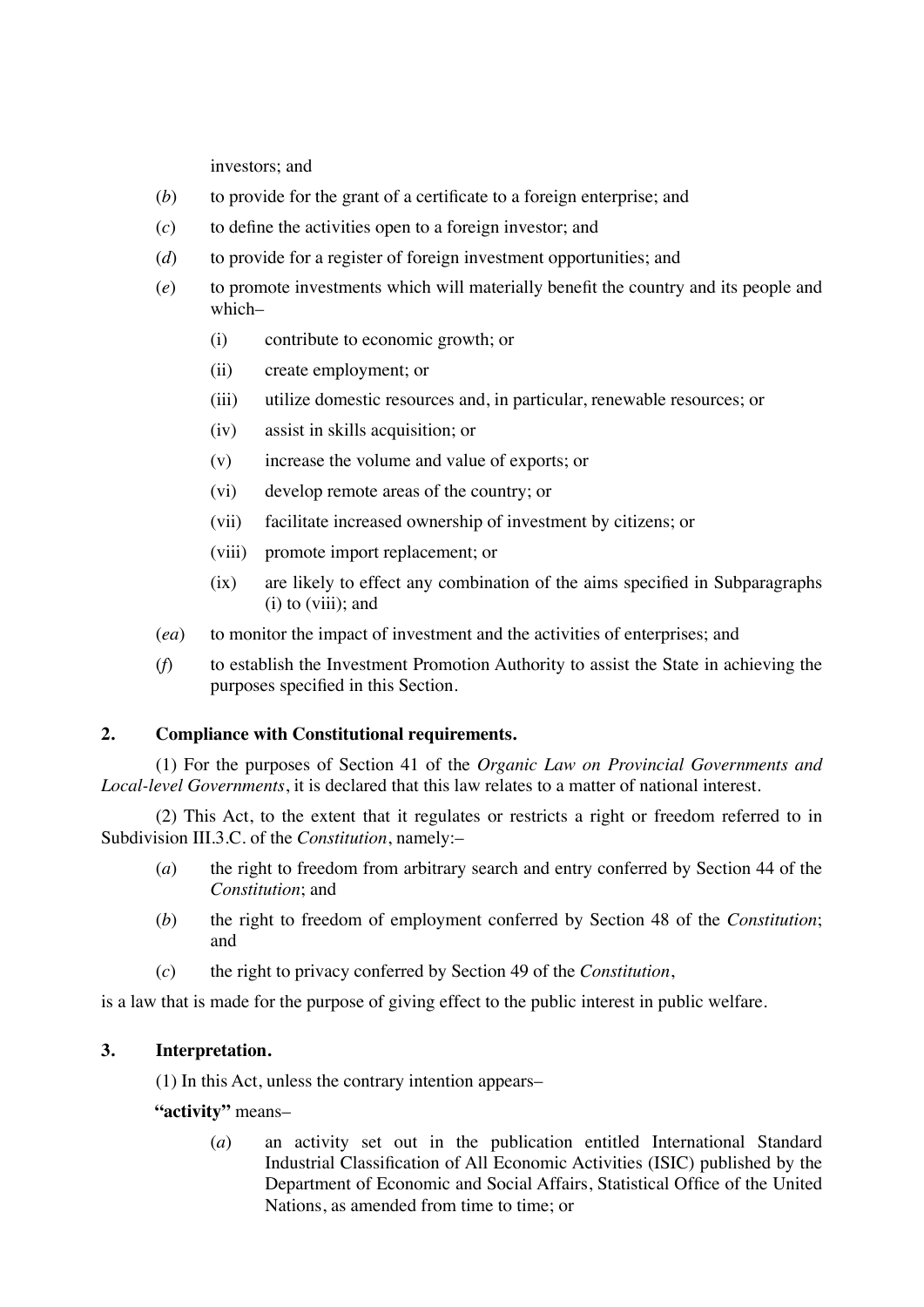investors; and

- (*b*) to provide for the grant of a certificate to a foreign enterprise; and
- (*c*) to define the activities open to a foreign investor; and
- (*d*) to provide for a register of foreign investment opportunities; and
- (*e*) to promote investments which will materially benefit the country and its people and which–
	- (i) contribute to economic growth; or
	- (ii) create employment; or
	- (iii) utilize domestic resources and, in particular, renewable resources; or
	- (iv) assist in skills acquisition; or
	- (v) increase the volume and value of exports; or
	- (vi) develop remote areas of the country; or
	- (vii) facilitate increased ownership of investment by citizens; or
	- (viii) promote import replacement; or
	- (ix) are likely to effect any combination of the aims specified in Subparagraphs (i) to (viii); and
- (*ea*) to monitor the impact of investment and the activities of enterprises; and
- (*f*) to establish the Investment Promotion Authority to assist the State in achieving the purposes specified in this Section.

## **2. Compliance with Constitutional requirements.**

(1) For the purposes of Section 41 of the *Organic Law on Provincial Governments and Local-level Governments*, it is declared that this law relates to a matter of national interest.

(2) This Act, to the extent that it regulates or restricts a right or freedom referred to in Subdivision III.3.C. of the *Constitution*, namely:–

- (*a*) the right to freedom from arbitrary search and entry conferred by Section 44 of the *Constitution*; and
- (*b*) the right to freedom of employment conferred by Section 48 of the *Constitution*; and
- (*c*) the right to privacy conferred by Section 49 of the *Constitution*,

is a law that is made for the purpose of giving effect to the public interest in public welfare.

## **3. Interpretation.**

(1) In this Act, unless the contrary intention appears–

**"activity"** means–

(*a*) an activity set out in the publication entitled International Standard Industrial Classification of All Economic Activities (ISIC) published by the Department of Economic and Social Affairs, Statistical Office of the United Nations, as amended from time to time; or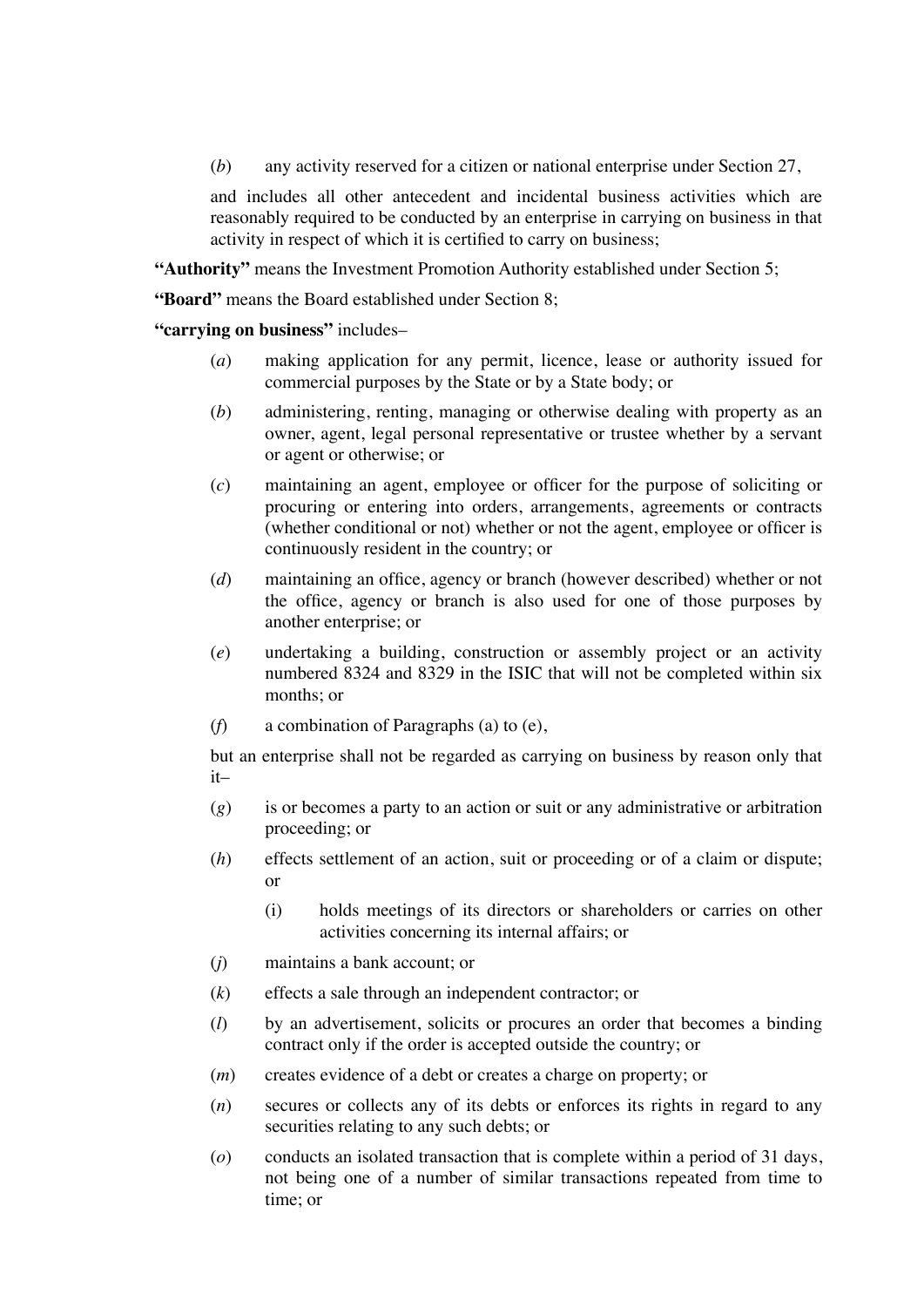(*b*) any activity reserved for a citizen or national enterprise under Section 27,

and includes all other antecedent and incidental business activities which are reasonably required to be conducted by an enterprise in carrying on business in that activity in respect of which it is certified to carry on business;

**"Authority"** means the Investment Promotion Authority established under Section 5;

**"Board"** means the Board established under Section 8;

**"carrying on business"** includes–

- (*a*) making application for any permit, licence, lease or authority issued for commercial purposes by the State or by a State body; or
- (*b*) administering, renting, managing or otherwise dealing with property as an owner, agent, legal personal representative or trustee whether by a servant or agent or otherwise; or
- (*c*) maintaining an agent, employee or officer for the purpose of soliciting or procuring or entering into orders, arrangements, agreements or contracts (whether conditional or not) whether or not the agent, employee or officer is continuously resident in the country; or
- (*d*) maintaining an office, agency or branch (however described) whether or not the office, agency or branch is also used for one of those purposes by another enterprise; or
- (*e*) undertaking a building, construction or assembly project or an activity numbered 8324 and 8329 in the ISIC that will not be completed within six months; or
- (*f*) a combination of Paragraphs (a) to (e),

but an enterprise shall not be regarded as carrying on business by reason only that it–

- (*g*) is or becomes a party to an action or suit or any administrative or arbitration proceeding; or
- (*h*) effects settlement of an action, suit or proceeding or of a claim or dispute; or
	- (i) holds meetings of its directors or shareholders or carries on other activities concerning its internal affairs; or
- (*j*) maintains a bank account; or
- (*k*) effects a sale through an independent contractor; or
- (*l*) by an advertisement, solicits or procures an order that becomes a binding contract only if the order is accepted outside the country; or
- (*m*) creates evidence of a debt or creates a charge on property; or
- (*n*) secures or collects any of its debts or enforces its rights in regard to any securities relating to any such debts; or
- (*o*) conducts an isolated transaction that is complete within a period of 31 days, not being one of a number of similar transactions repeated from time to time; or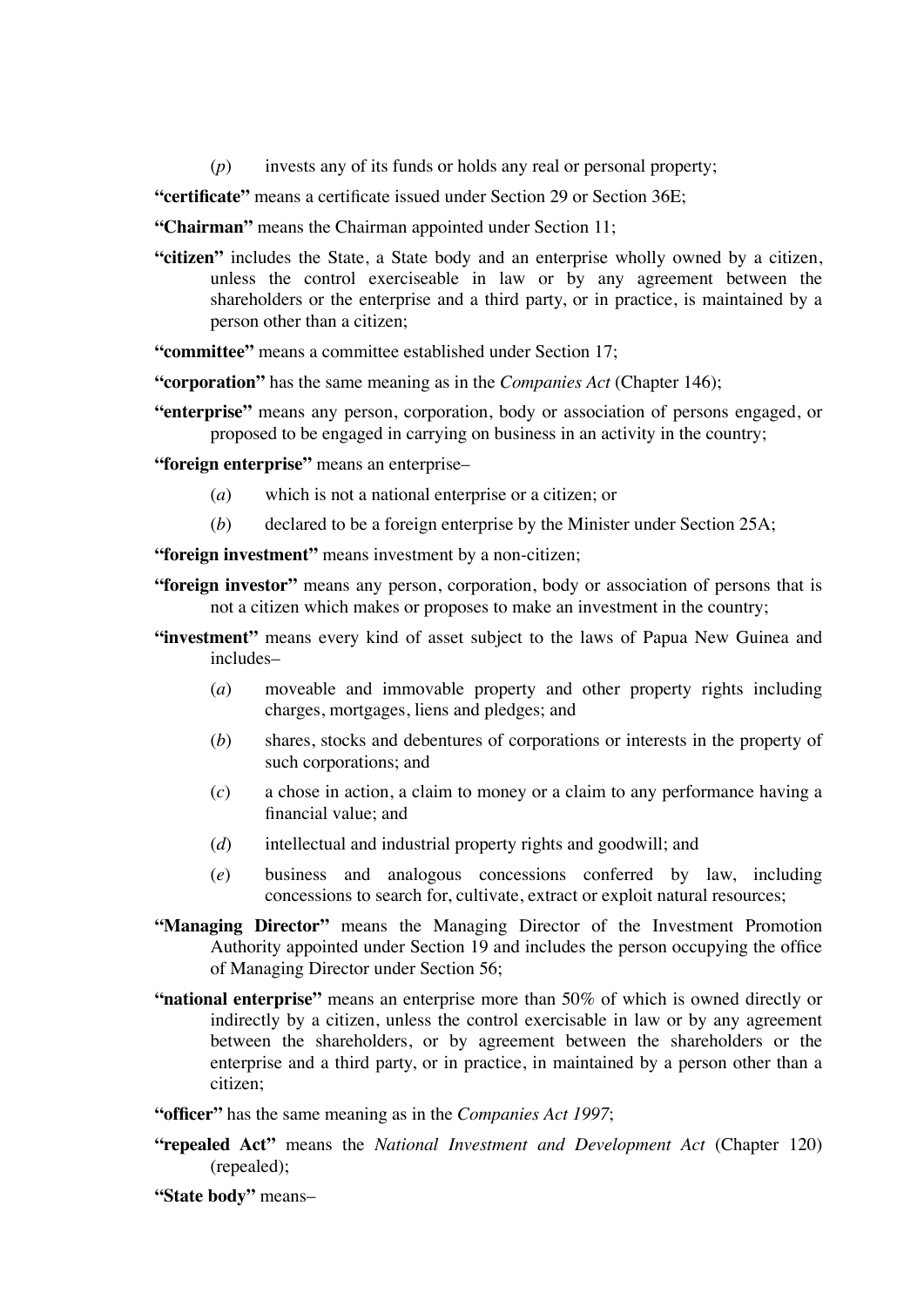(*p*) invests any of its funds or holds any real or personal property;

**"certificate"** means a certificate issued under Section 29 or Section 36E;

**"Chairman"** means the Chairman appointed under Section 11;

**"citizen"** includes the State, a State body and an enterprise wholly owned by a citizen, unless the control exerciseable in law or by any agreement between the shareholders or the enterprise and a third party, or in practice, is maintained by a person other than a citizen;

**"committee"** means a committee established under Section 17;

**"corporation"** has the same meaning as in the *Companies Act* (Chapter 146);

**"enterprise"** means any person, corporation, body or association of persons engaged, or proposed to be engaged in carrying on business in an activity in the country;

**"foreign enterprise"** means an enterprise–

- (*a*) which is not a national enterprise or a citizen; or
- (*b*) declared to be a foreign enterprise by the Minister under Section 25A;

**"foreign investment"** means investment by a non-citizen;

- **"foreign investor"** means any person, corporation, body or association of persons that is not a citizen which makes or proposes to make an investment in the country;
- **"investment"** means every kind of asset subject to the laws of Papua New Guinea and includes–
	- (*a*) moveable and immovable property and other property rights including charges, mortgages, liens and pledges; and
	- (*b*) shares, stocks and debentures of corporations or interests in the property of such corporations; and
	- (*c*) a chose in action, a claim to money or a claim to any performance having a financial value; and
	- (*d*) intellectual and industrial property rights and goodwill; and
	- (*e*) business and analogous concessions conferred by law, including concessions to search for, cultivate, extract or exploit natural resources;
- **"Managing Director"** means the Managing Director of the Investment Promotion Authority appointed under Section 19 and includes the person occupying the office of Managing Director under Section 56;
- **"national enterprise"** means an enterprise more than 50% of which is owned directly or indirectly by a citizen, unless the control exercisable in law or by any agreement between the shareholders, or by agreement between the shareholders or the enterprise and a third party, or in practice, in maintained by a person other than a citizen;

**"officer"** has the same meaning as in the *Companies Act 1997*;

- **"repealed Act"** means the *National Investment and Development Act* (Chapter 120) (repealed);
- **"State body"** means–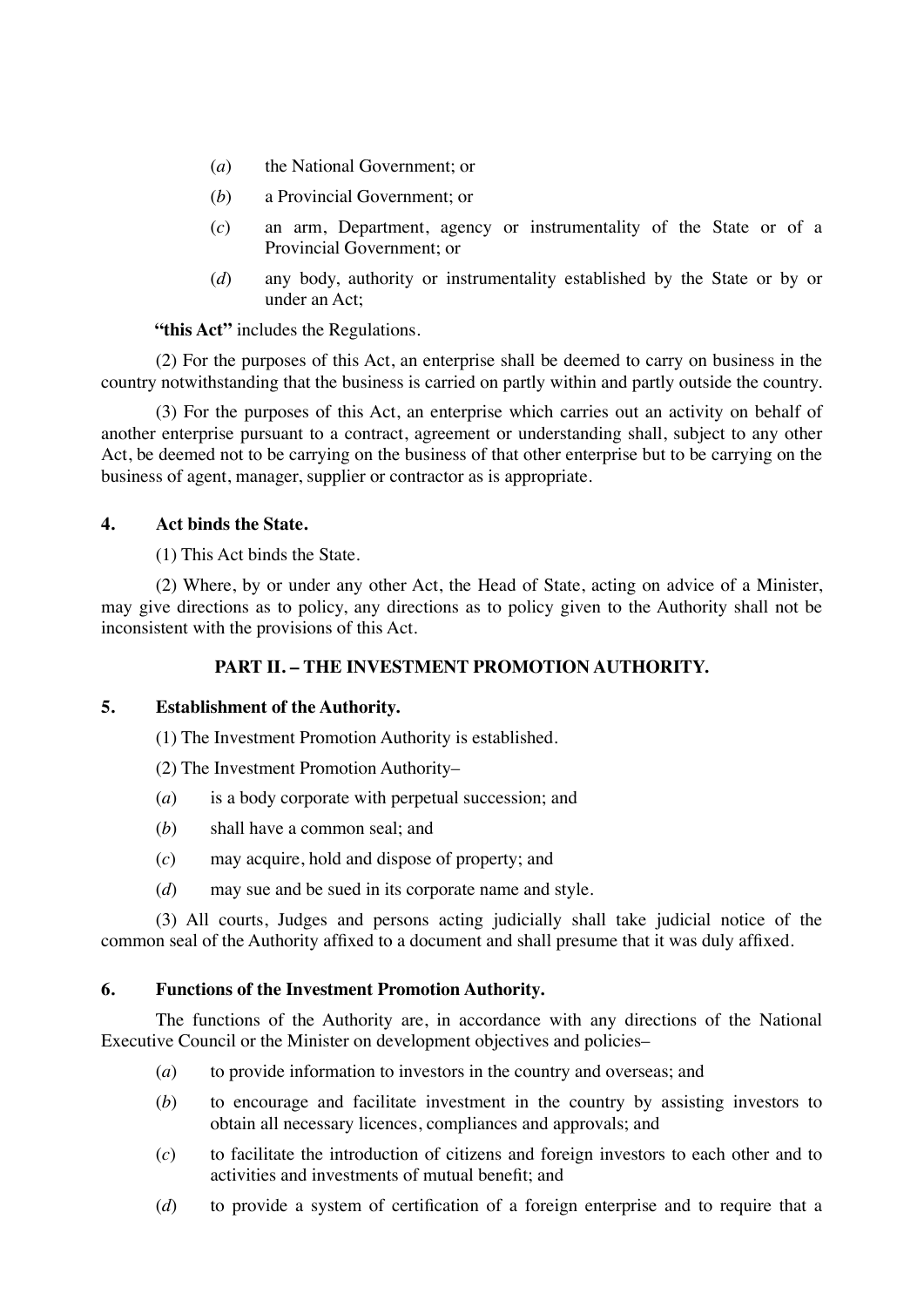- (*a*) the National Government; or
- (*b*) a Provincial Government; or
- (*c*) an arm, Department, agency or instrumentality of the State or of a Provincial Government; or
- (*d*) any body, authority or instrumentality established by the State or by or under an Act;

**"this Act"** includes the Regulations.

(2) For the purposes of this Act, an enterprise shall be deemed to carry on business in the country notwithstanding that the business is carried on partly within and partly outside the country.

(3) For the purposes of this Act, an enterprise which carries out an activity on behalf of another enterprise pursuant to a contract, agreement or understanding shall, subject to any other Act, be deemed not to be carrying on the business of that other enterprise but to be carrying on the business of agent, manager, supplier or contractor as is appropriate.

## **4. Act binds the State.**

(1) This Act binds the State.

(2) Where, by or under any other Act, the Head of State, acting on advice of a Minister, may give directions as to policy, any directions as to policy given to the Authority shall not be inconsistent with the provisions of this Act.

## **PART II. – THE INVESTMENT PROMOTION AUTHORITY.**

## **5. Establishment of the Authority.**

(1) The Investment Promotion Authority is established.

(2) The Investment Promotion Authority–

- (*a*) is a body corporate with perpetual succession; and
- (*b*) shall have a common seal; and
- (*c*) may acquire, hold and dispose of property; and
- (*d*) may sue and be sued in its corporate name and style.

(3) All courts, Judges and persons acting judicially shall take judicial notice of the common seal of the Authority affixed to a document and shall presume that it was duly affixed.

## **6. Functions of the Investment Promotion Authority.**

The functions of the Authority are, in accordance with any directions of the National Executive Council or the Minister on development objectives and policies–

- (*a*) to provide information to investors in the country and overseas; and
- (*b*) to encourage and facilitate investment in the country by assisting investors to obtain all necessary licences, compliances and approvals; and
- (*c*) to facilitate the introduction of citizens and foreign investors to each other and to activities and investments of mutual benefit; and
- (*d*) to provide a system of certification of a foreign enterprise and to require that a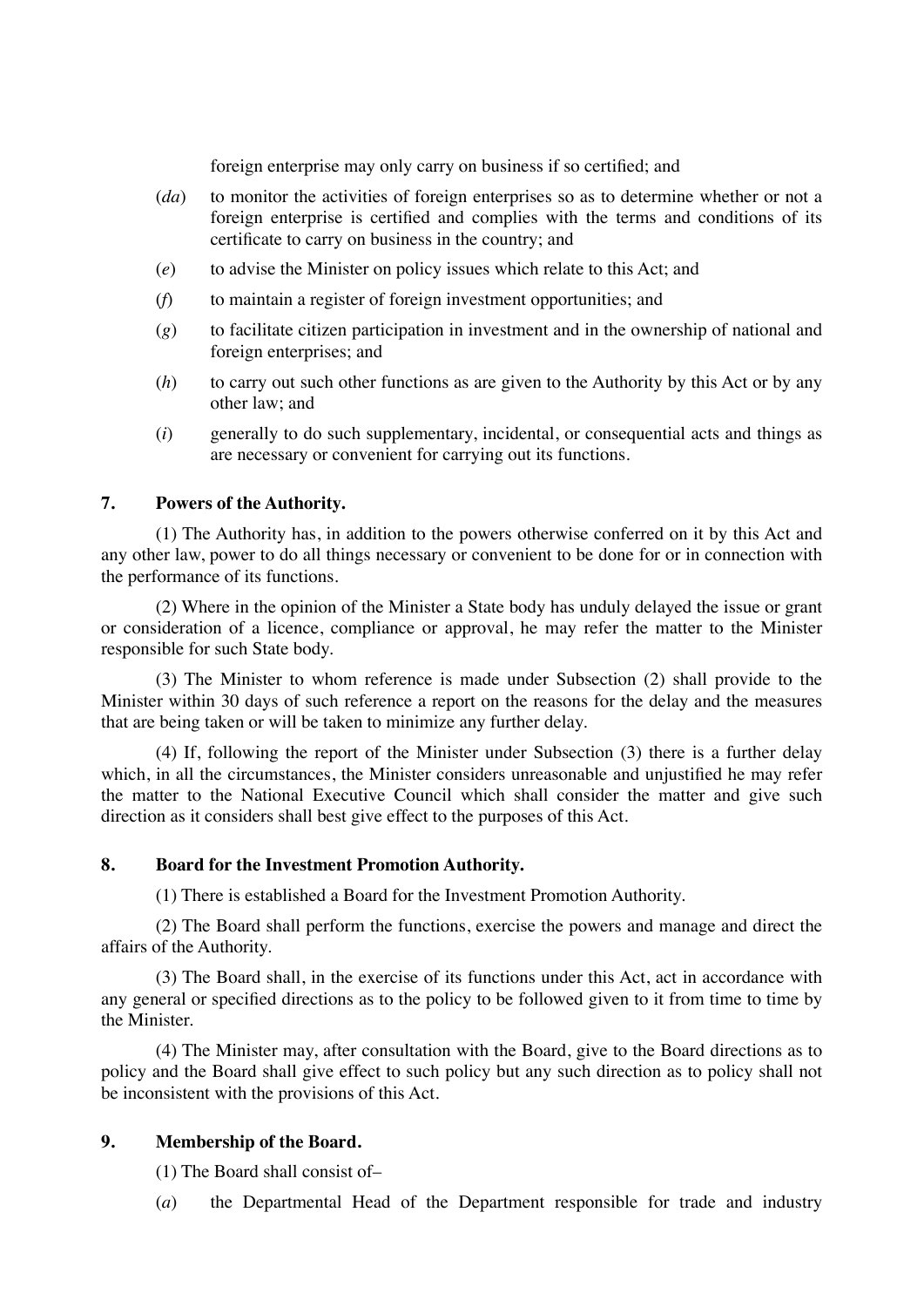foreign enterprise may only carry on business if so certified; and

- (*da*) to monitor the activities of foreign enterprises so as to determine whether or not a foreign enterprise is certified and complies with the terms and conditions of its certificate to carry on business in the country; and
- (*e*) to advise the Minister on policy issues which relate to this Act; and
- (*f*) to maintain a register of foreign investment opportunities; and
- (*g*) to facilitate citizen participation in investment and in the ownership of national and foreign enterprises; and
- (*h*) to carry out such other functions as are given to the Authority by this Act or by any other law; and
- (*i*) generally to do such supplementary, incidental, or consequential acts and things as are necessary or convenient for carrying out its functions.

## **7. Powers of the Authority.**

(1) The Authority has, in addition to the powers otherwise conferred on it by this Act and any other law, power to do all things necessary or convenient to be done for or in connection with the performance of its functions.

(2) Where in the opinion of the Minister a State body has unduly delayed the issue or grant or consideration of a licence, compliance or approval, he may refer the matter to the Minister responsible for such State body.

(3) The Minister to whom reference is made under Subsection (2) shall provide to the Minister within 30 days of such reference a report on the reasons for the delay and the measures that are being taken or will be taken to minimize any further delay.

(4) If, following the report of the Minister under Subsection (3) there is a further delay which, in all the circumstances, the Minister considers unreasonable and unjustified he may refer the matter to the National Executive Council which shall consider the matter and give such direction as it considers shall best give effect to the purposes of this Act.

#### **8. Board for the Investment Promotion Authority.**

(1) There is established a Board for the Investment Promotion Authority.

(2) The Board shall perform the functions, exercise the powers and manage and direct the affairs of the Authority.

(3) The Board shall, in the exercise of its functions under this Act, act in accordance with any general or specified directions as to the policy to be followed given to it from time to time by the Minister.

(4) The Minister may, after consultation with the Board, give to the Board directions as to policy and the Board shall give effect to such policy but any such direction as to policy shall not be inconsistent with the provisions of this Act.

#### **9. Membership of the Board.**

(1) The Board shall consist of–

(*a*) the Departmental Head of the Department responsible for trade and industry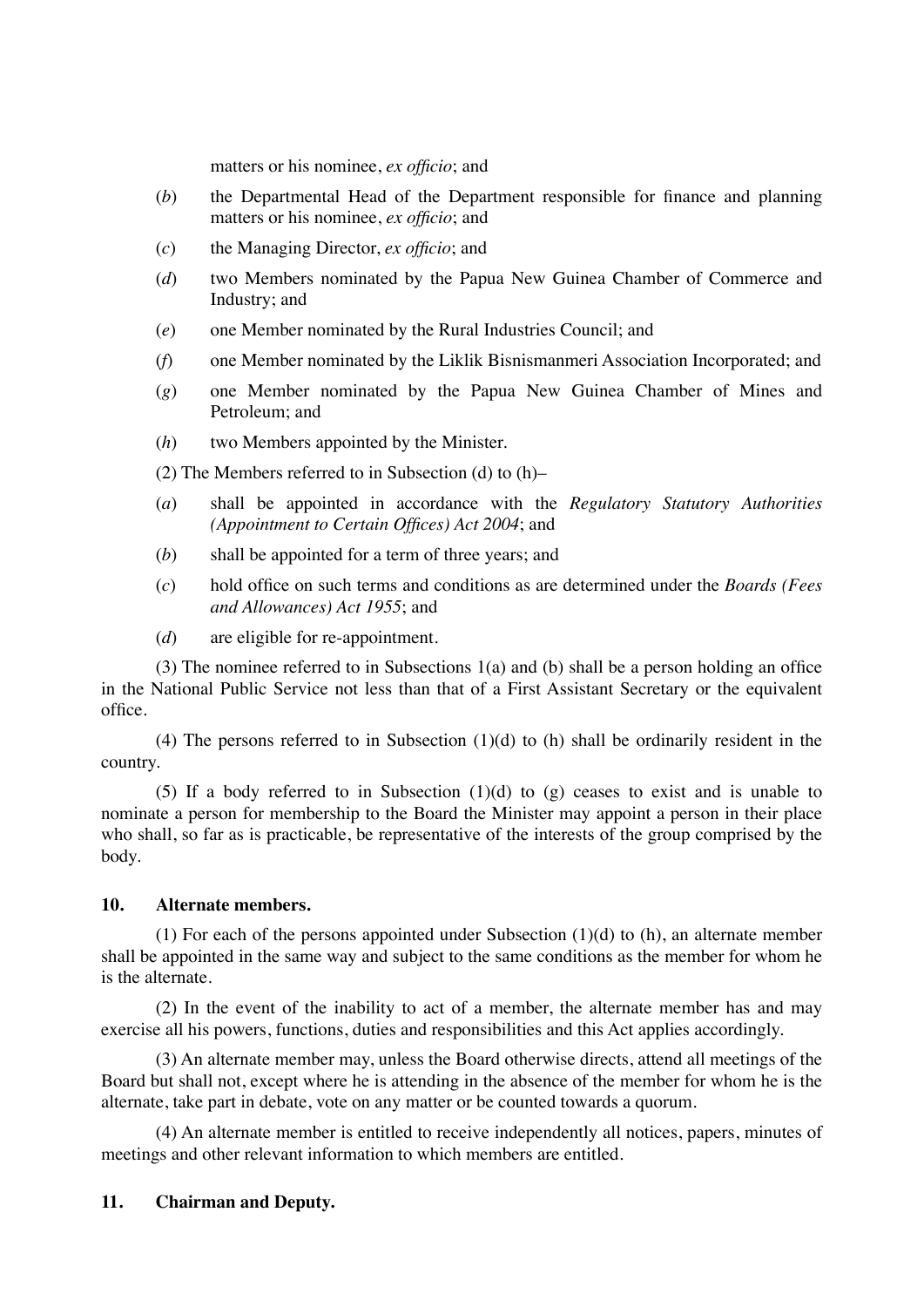matters or his nominee, *ex officio*; and

- (*b*) the Departmental Head of the Department responsible for finance and planning matters or his nominee, *ex officio*; and
- (*c*) the Managing Director, *ex officio*; and
- (*d*) two Members nominated by the Papua New Guinea Chamber of Commerce and Industry; and
- (*e*) one Member nominated by the Rural Industries Council; and
- (*f*) one Member nominated by the Liklik Bisnismanmeri Association Incorporated; and
- (*g*) one Member nominated by the Papua New Guinea Chamber of Mines and Petroleum; and
- (*h*) two Members appointed by the Minister.

(2) The Members referred to in Subsection (d) to (h)–

- (*a*) shall be appointed in accordance with the *Regulatory Statutory Authorities (Appointment to Certain Offices) Act 2004*; and
- (*b*) shall be appointed for a term of three years; and
- (*c*) hold office on such terms and conditions as are determined under the *Boards (Fees and Allowances) Act 1955*; and
- (*d*) are eligible for re-appointment.

(3) The nominee referred to in Subsections 1(a) and (b) shall be a person holding an office in the National Public Service not less than that of a First Assistant Secretary or the equivalent office.

(4) The persons referred to in Subsection (1)(d) to (h) shall be ordinarily resident in the country.

(5) If a body referred to in Subsection  $(1)(d)$  to  $(g)$  ceases to exist and is unable to nominate a person for membership to the Board the Minister may appoint a person in their place who shall, so far as is practicable, be representative of the interests of the group comprised by the body.

#### **10. Alternate members.**

(1) For each of the persons appointed under Subsection (1)(d) to (h), an alternate member shall be appointed in the same way and subject to the same conditions as the member for whom he is the alternate.

(2) In the event of the inability to act of a member, the alternate member has and may exercise all his powers, functions, duties and responsibilities and this Act applies accordingly.

(3) An alternate member may, unless the Board otherwise directs, attend all meetings of the Board but shall not, except where he is attending in the absence of the member for whom he is the alternate, take part in debate, vote on any matter or be counted towards a quorum.

(4) An alternate member is entitled to receive independently all notices, papers, minutes of meetings and other relevant information to which members are entitled.

## **11. Chairman and Deputy.**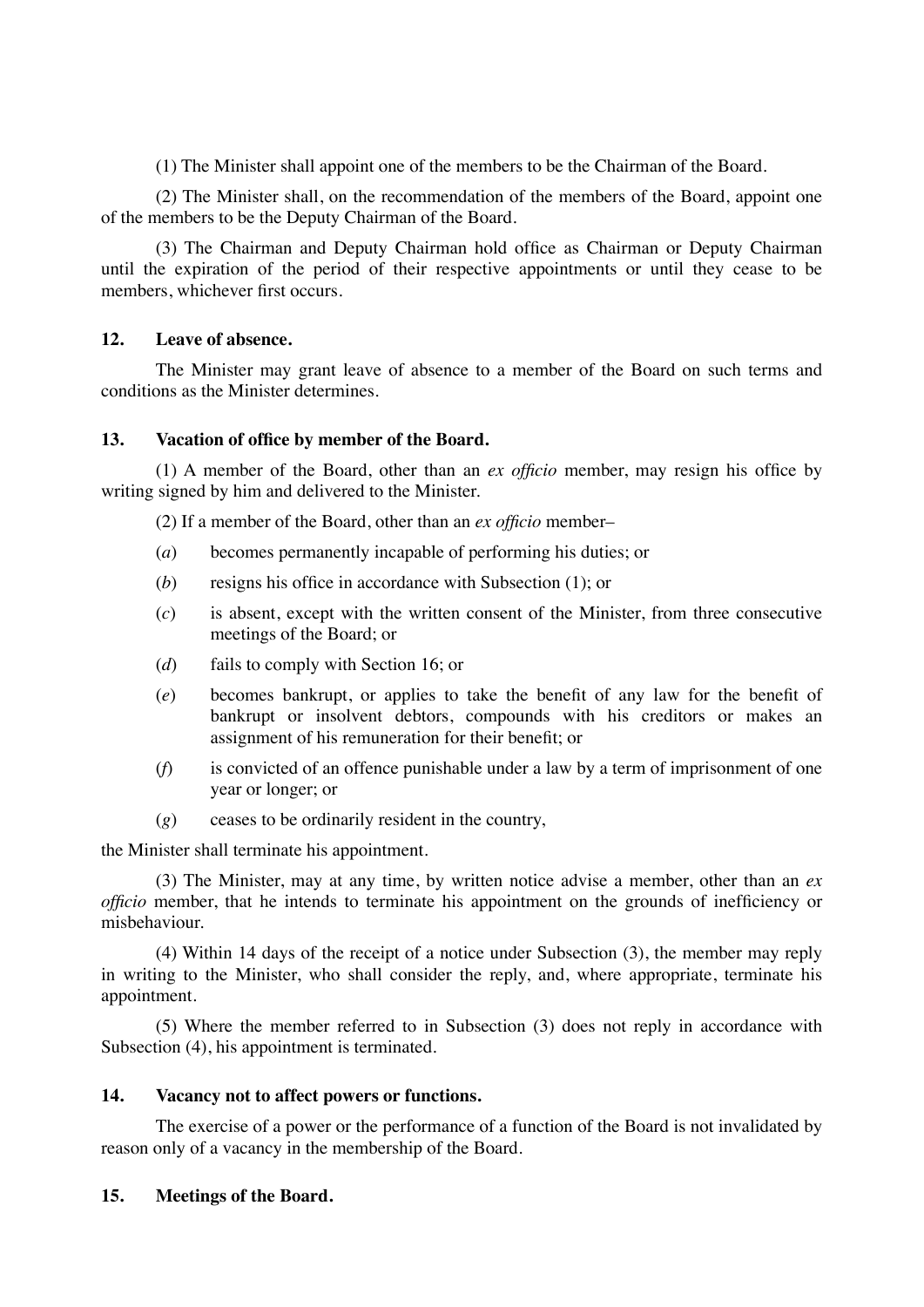(1) The Minister shall appoint one of the members to be the Chairman of the Board.

(2) The Minister shall, on the recommendation of the members of the Board, appoint one of the members to be the Deputy Chairman of the Board.

(3) The Chairman and Deputy Chairman hold office as Chairman or Deputy Chairman until the expiration of the period of their respective appointments or until they cease to be members, whichever first occurs.

### **12. Leave of absence.**

The Minister may grant leave of absence to a member of the Board on such terms and conditions as the Minister determines.

### **13. Vacation of office by member of the Board.**

(1) A member of the Board, other than an *ex officio* member, may resign his office by writing signed by him and delivered to the Minister.

(2) If a member of the Board, other than an *ex officio* member–

- (*a*) becomes permanently incapable of performing his duties; or
- (*b*) resigns his office in accordance with Subsection (1); or
- (*c*) is absent, except with the written consent of the Minister, from three consecutive meetings of the Board; or
- (*d*) fails to comply with Section 16; or
- (*e*) becomes bankrupt, or applies to take the benefit of any law for the benefit of bankrupt or insolvent debtors, compounds with his creditors or makes an assignment of his remuneration for their benefit; or
- (*f*) is convicted of an offence punishable under a law by a term of imprisonment of one year or longer; or
- (*g*) ceases to be ordinarily resident in the country,

the Minister shall terminate his appointment.

(3) The Minister, may at any time, by written notice advise a member, other than an *ex officio* member, that he intends to terminate his appointment on the grounds of inefficiency or misbehaviour.

(4) Within 14 days of the receipt of a notice under Subsection (3), the member may reply in writing to the Minister, who shall consider the reply, and, where appropriate, terminate his appointment.

(5) Where the member referred to in Subsection (3) does not reply in accordance with Subsection (4), his appointment is terminated.

## **14. Vacancy not to affect powers or functions.**

The exercise of a power or the performance of a function of the Board is not invalidated by reason only of a vacancy in the membership of the Board.

## **15. Meetings of the Board.**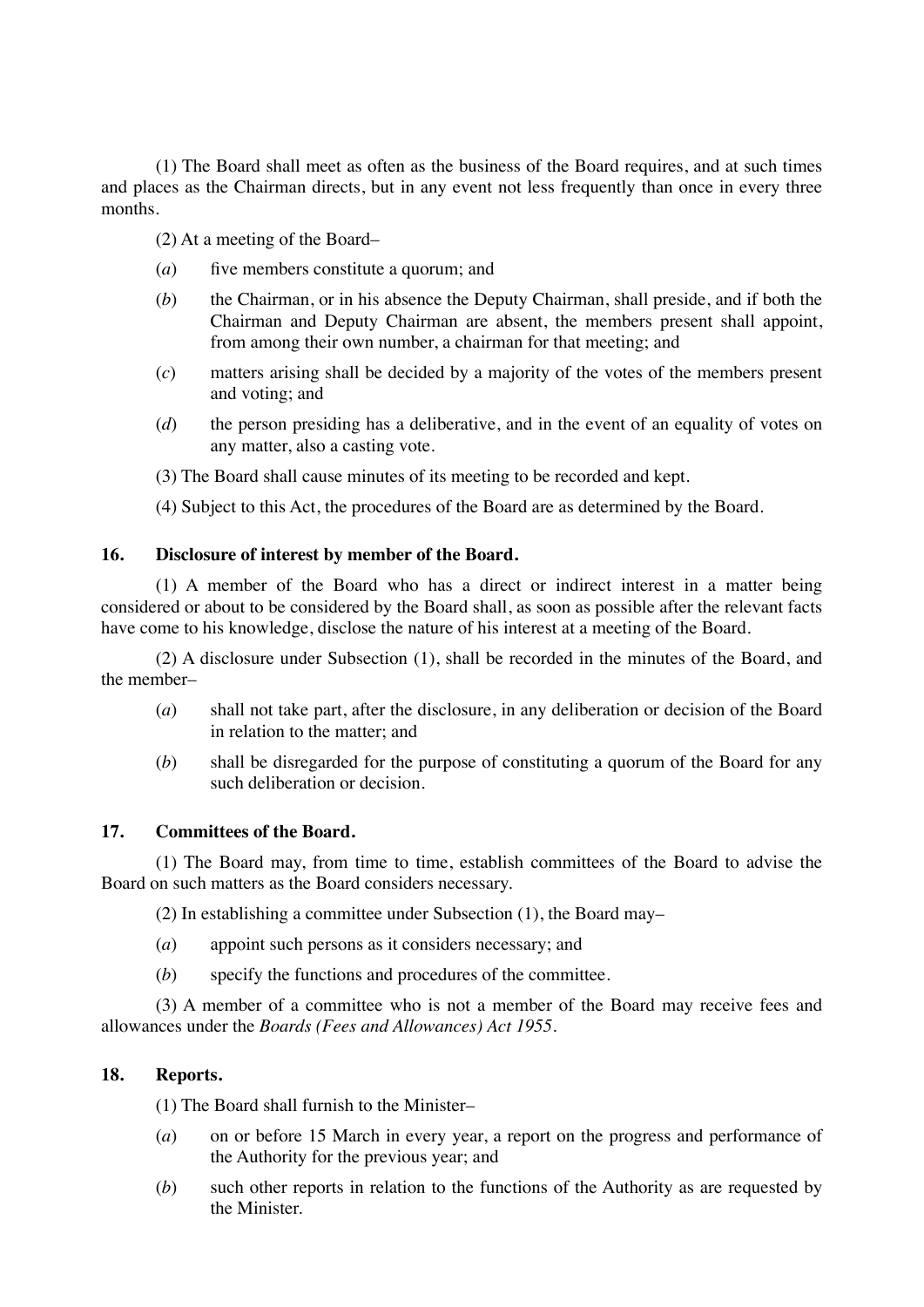(1) The Board shall meet as often as the business of the Board requires, and at such times and places as the Chairman directs, but in any event not less frequently than once in every three months.

- (2) At a meeting of the Board–
- (*a*) five members constitute a quorum; and
- (*b*) the Chairman, or in his absence the Deputy Chairman, shall preside, and if both the Chairman and Deputy Chairman are absent, the members present shall appoint, from among their own number, a chairman for that meeting; and
- (*c*) matters arising shall be decided by a majority of the votes of the members present and voting; and
- (*d*) the person presiding has a deliberative, and in the event of an equality of votes on any matter, also a casting vote.
- (3) The Board shall cause minutes of its meeting to be recorded and kept.
- (4) Subject to this Act, the procedures of the Board are as determined by the Board.

## **16. Disclosure of interest by member of the Board.**

(1) A member of the Board who has a direct or indirect interest in a matter being considered or about to be considered by the Board shall, as soon as possible after the relevant facts have come to his knowledge, disclose the nature of his interest at a meeting of the Board.

(2) A disclosure under Subsection (1), shall be recorded in the minutes of the Board, and the member–

- (*a*) shall not take part, after the disclosure, in any deliberation or decision of the Board in relation to the matter; and
- (*b*) shall be disregarded for the purpose of constituting a quorum of the Board for any such deliberation or decision.

## **17. Committees of the Board.**

(1) The Board may, from time to time, establish committees of the Board to advise the Board on such matters as the Board considers necessary.

(2) In establishing a committee under Subsection (1), the Board may–

- (*a*) appoint such persons as it considers necessary; and
- (*b*) specify the functions and procedures of the committee.

(3) A member of a committee who is not a member of the Board may receive fees and allowances under the *Boards (Fees and Allowances) Act 1955*.

## **18. Reports.**

(1) The Board shall furnish to the Minister–

- (*a*) on or before 15 March in every year, a report on the progress and performance of the Authority for the previous year; and
- (*b*) such other reports in relation to the functions of the Authority as are requested by the Minister.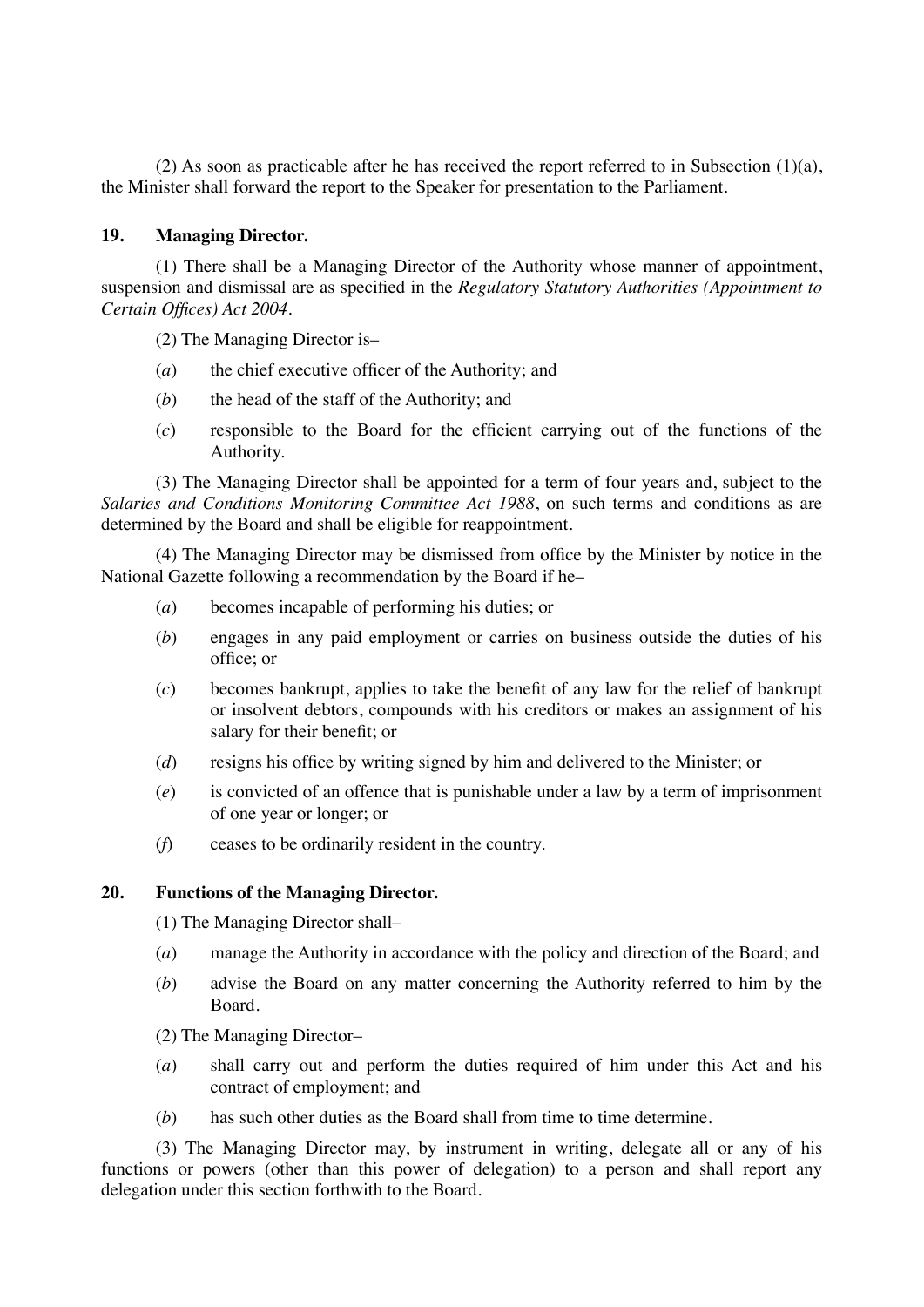(2) As soon as practicable after he has received the report referred to in Subsection (1)(a), the Minister shall forward the report to the Speaker for presentation to the Parliament.

### **19. Managing Director.**

(1) There shall be a Managing Director of the Authority whose manner of appointment, suspension and dismissal are as specified in the *Regulatory Statutory Authorities (Appointment to Certain Offices) Act 2004*.

(2) The Managing Director is–

- (*a*) the chief executive officer of the Authority; and
- (*b*) the head of the staff of the Authority; and
- (*c*) responsible to the Board for the efficient carrying out of the functions of the Authority.

(3) The Managing Director shall be appointed for a term of four years and, subject to the *Salaries and Conditions Monitoring Committee Act 1988*, on such terms and conditions as are determined by the Board and shall be eligible for reappointment.

(4) The Managing Director may be dismissed from office by the Minister by notice in the National Gazette following a recommendation by the Board if he–

- (*a*) becomes incapable of performing his duties; or
- (*b*) engages in any paid employment or carries on business outside the duties of his office; or
- (*c*) becomes bankrupt, applies to take the benefit of any law for the relief of bankrupt or insolvent debtors, compounds with his creditors or makes an assignment of his salary for their benefit; or
- (*d*) resigns his office by writing signed by him and delivered to the Minister; or
- (*e*) is convicted of an offence that is punishable under a law by a term of imprisonment of one year or longer; or
- (*f*) ceases to be ordinarily resident in the country.

#### **20. Functions of the Managing Director.**

(1) The Managing Director shall–

- (*a*) manage the Authority in accordance with the policy and direction of the Board; and
- (*b*) advise the Board on any matter concerning the Authority referred to him by the Board.
- (2) The Managing Director–
- (*a*) shall carry out and perform the duties required of him under this Act and his contract of employment; and
- (*b*) has such other duties as the Board shall from time to time determine.

(3) The Managing Director may, by instrument in writing, delegate all or any of his functions or powers (other than this power of delegation) to a person and shall report any delegation under this section forthwith to the Board.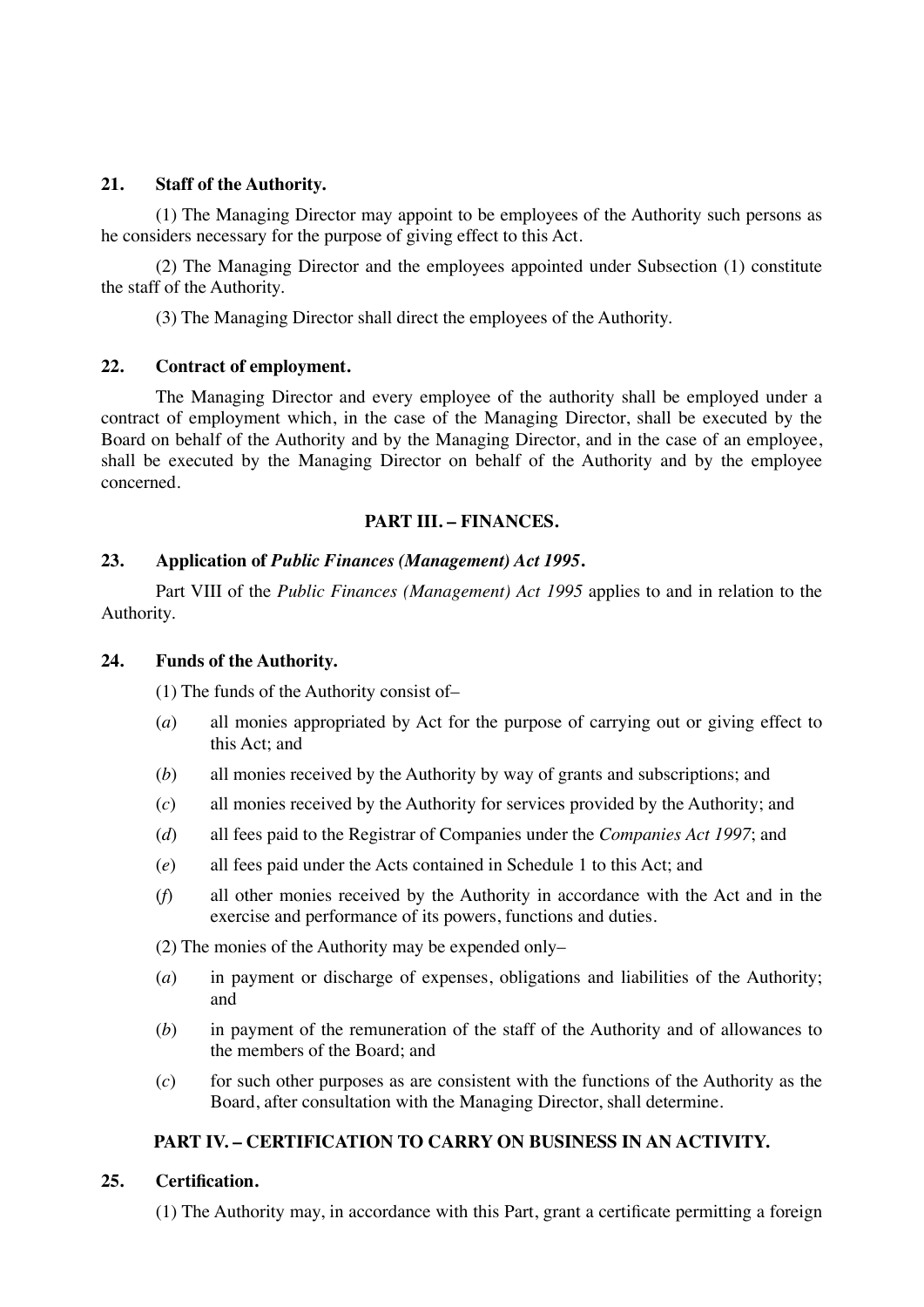### **21. Staff of the Authority.**

(1) The Managing Director may appoint to be employees of the Authority such persons as he considers necessary for the purpose of giving effect to this Act.

(2) The Managing Director and the employees appointed under Subsection (1) constitute the staff of the Authority.

(3) The Managing Director shall direct the employees of the Authority.

## **22. Contract of employment.**

The Managing Director and every employee of the authority shall be employed under a contract of employment which, in the case of the Managing Director, shall be executed by the Board on behalf of the Authority and by the Managing Director, and in the case of an employee, shall be executed by the Managing Director on behalf of the Authority and by the employee concerned.

## **PART III. – FINANCES.**

### **23. Application of** *Public Finances (Management) Act 1995***.**

Part VIII of the *Public Finances (Management) Act 1995* applies to and in relation to the Authority.

## **24. Funds of the Authority.**

(1) The funds of the Authority consist of–

- (*a*) all monies appropriated by Act for the purpose of carrying out or giving effect to this Act; and
- (*b*) all monies received by the Authority by way of grants and subscriptions; and
- (*c*) all monies received by the Authority for services provided by the Authority; and
- (*d*) all fees paid to the Registrar of Companies under the *Companies Act 1997*; and
- (*e*) all fees paid under the Acts contained in Schedule 1 to this Act; and
- (*f*) all other monies received by the Authority in accordance with the Act and in the exercise and performance of its powers, functions and duties.

(2) The monies of the Authority may be expended only–

- (*a*) in payment or discharge of expenses, obligations and liabilities of the Authority; and
- (*b*) in payment of the remuneration of the staff of the Authority and of allowances to the members of the Board; and
- (*c*) for such other purposes as are consistent with the functions of the Authority as the Board, after consultation with the Managing Director, shall determine.

## **PART IV. – CERTIFICATION TO CARRY ON BUSINESS IN AN ACTIVITY.**

## **25. Certification.**

(1) The Authority may, in accordance with this Part, grant a certificate permitting a foreign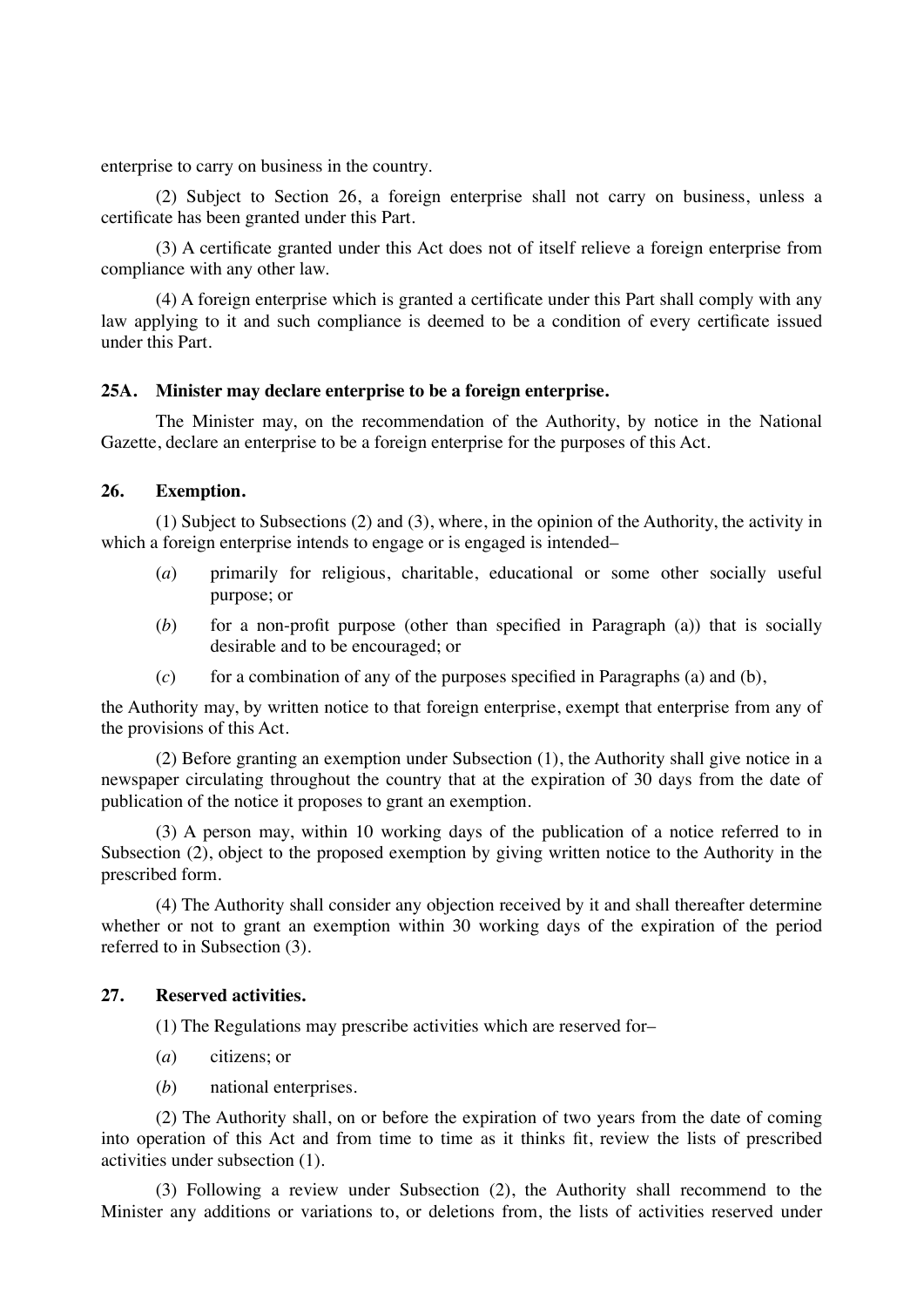enterprise to carry on business in the country.

(2) Subject to Section 26, a foreign enterprise shall not carry on business, unless a certificate has been granted under this Part.

(3) A certificate granted under this Act does not of itself relieve a foreign enterprise from compliance with any other law.

(4) A foreign enterprise which is granted a certificate under this Part shall comply with any law applying to it and such compliance is deemed to be a condition of every certificate issued under this Part.

### **25A. Minister may declare enterprise to be a foreign enterprise.**

The Minister may, on the recommendation of the Authority, by notice in the National Gazette, declare an enterprise to be a foreign enterprise for the purposes of this Act.

## **26. Exemption.**

(1) Subject to Subsections (2) and (3), where, in the opinion of the Authority, the activity in which a foreign enterprise intends to engage or is engaged is intended–

- (*a*) primarily for religious, charitable, educational or some other socially useful purpose; or
- (*b*) for a non-profit purpose (other than specified in Paragraph (a)) that is socially desirable and to be encouraged; or
- $(c)$  for a combination of any of the purposes specified in Paragraphs (a) and (b),

the Authority may, by written notice to that foreign enterprise, exempt that enterprise from any of the provisions of this Act.

(2) Before granting an exemption under Subsection (1), the Authority shall give notice in a newspaper circulating throughout the country that at the expiration of 30 days from the date of publication of the notice it proposes to grant an exemption.

(3) A person may, within 10 working days of the publication of a notice referred to in Subsection (2), object to the proposed exemption by giving written notice to the Authority in the prescribed form.

(4) The Authority shall consider any objection received by it and shall thereafter determine whether or not to grant an exemption within 30 working days of the expiration of the period referred to in Subsection (3).

### **27. Reserved activities.**

(1) The Regulations may prescribe activities which are reserved for–

- (*a*) citizens; or
- (*b*) national enterprises.

(2) The Authority shall, on or before the expiration of two years from the date of coming into operation of this Act and from time to time as it thinks fit, review the lists of prescribed activities under subsection (1).

(3) Following a review under Subsection (2), the Authority shall recommend to the Minister any additions or variations to, or deletions from, the lists of activities reserved under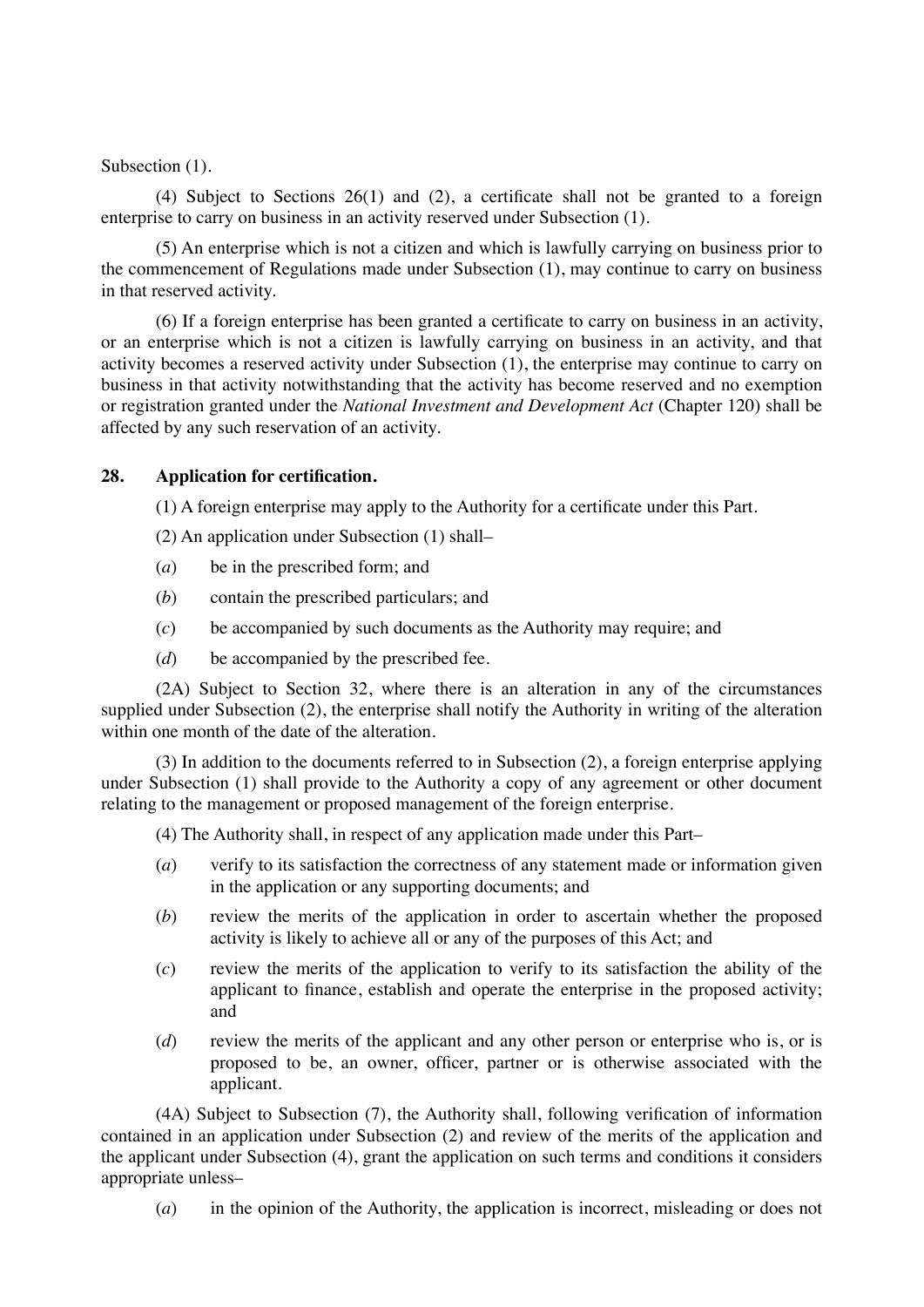### Subsection  $(1)$ .

(4) Subject to Sections 26(1) and (2), a certificate shall not be granted to a foreign enterprise to carry on business in an activity reserved under Subsection (1).

(5) An enterprise which is not a citizen and which is lawfully carrying on business prior to the commencement of Regulations made under Subsection (1), may continue to carry on business in that reserved activity.

(6) If a foreign enterprise has been granted a certificate to carry on business in an activity, or an enterprise which is not a citizen is lawfully carrying on business in an activity, and that activity becomes a reserved activity under Subsection (1), the enterprise may continue to carry on business in that activity notwithstanding that the activity has become reserved and no exemption or registration granted under the *National Investment and Development Act* (Chapter 120) shall be affected by any such reservation of an activity.

## **28. Application for certification.**

(1) A foreign enterprise may apply to the Authority for a certificate under this Part.

- (2) An application under Subsection (1) shall–
- (*a*) be in the prescribed form; and
- (*b*) contain the prescribed particulars; and
- (*c*) be accompanied by such documents as the Authority may require; and
- (*d*) be accompanied by the prescribed fee.

(2A) Subject to Section 32, where there is an alteration in any of the circumstances supplied under Subsection (2), the enterprise shall notify the Authority in writing of the alteration within one month of the date of the alteration.

(3) In addition to the documents referred to in Subsection (2), a foreign enterprise applying under Subsection (1) shall provide to the Authority a copy of any agreement or other document relating to the management or proposed management of the foreign enterprise.

(4) The Authority shall, in respect of any application made under this Part–

- (*a*) verify to its satisfaction the correctness of any statement made or information given in the application or any supporting documents; and
- (*b*) review the merits of the application in order to ascertain whether the proposed activity is likely to achieve all or any of the purposes of this Act; and
- (*c*) review the merits of the application to verify to its satisfaction the ability of the applicant to finance, establish and operate the enterprise in the proposed activity; and
- (*d*) review the merits of the applicant and any other person or enterprise who is, or is proposed to be, an owner, officer, partner or is otherwise associated with the applicant.

(4A) Subject to Subsection (7), the Authority shall, following verification of information contained in an application under Subsection (2) and review of the merits of the application and the applicant under Subsection (4), grant the application on such terms and conditions it considers appropriate unless–

(*a*) in the opinion of the Authority, the application is incorrect, misleading or does not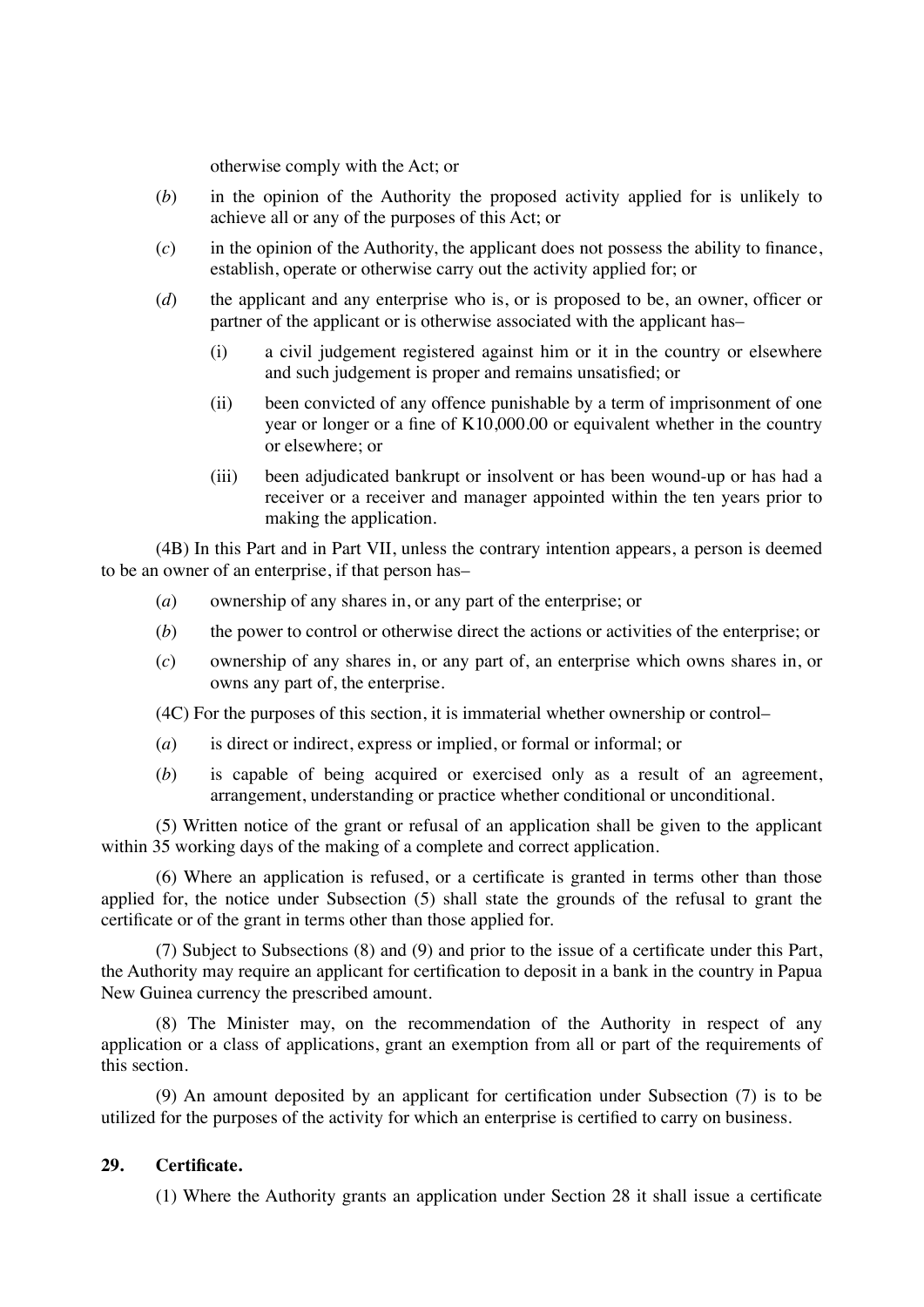otherwise comply with the Act; or

- (*b*) in the opinion of the Authority the proposed activity applied for is unlikely to achieve all or any of the purposes of this Act; or
- $(c)$  in the opinion of the Authority, the applicant does not possess the ability to finance, establish, operate or otherwise carry out the activity applied for; or
- (*d*) the applicant and any enterprise who is, or is proposed to be, an owner, officer or partner of the applicant or is otherwise associated with the applicant has–
	- (i) a civil judgement registered against him or it in the country or elsewhere and such judgement is proper and remains unsatisfied; or
	- (ii) been convicted of any offence punishable by a term of imprisonment of one year or longer or a fine of K10,000.00 or equivalent whether in the country or elsewhere; or
	- (iii) been adjudicated bankrupt or insolvent or has been wound-up or has had a receiver or a receiver and manager appointed within the ten years prior to making the application.

(4B) In this Part and in Part VII, unless the contrary intention appears, a person is deemed to be an owner of an enterprise, if that person has–

- (*a*) ownership of any shares in, or any part of the enterprise; or
- (*b*) the power to control or otherwise direct the actions or activities of the enterprise; or
- (*c*) ownership of any shares in, or any part of, an enterprise which owns shares in, or owns any part of, the enterprise.

(4C) For the purposes of this section, it is immaterial whether ownership or control–

- (*a*) is direct or indirect, express or implied, or formal or informal; or
- (*b*) is capable of being acquired or exercised only as a result of an agreement, arrangement, understanding or practice whether conditional or unconditional.

(5) Written notice of the grant or refusal of an application shall be given to the applicant within 35 working days of the making of a complete and correct application.

(6) Where an application is refused, or a certificate is granted in terms other than those applied for, the notice under Subsection (5) shall state the grounds of the refusal to grant the certificate or of the grant in terms other than those applied for.

(7) Subject to Subsections (8) and (9) and prior to the issue of a certificate under this Part, the Authority may require an applicant for certification to deposit in a bank in the country in Papua New Guinea currency the prescribed amount.

(8) The Minister may, on the recommendation of the Authority in respect of any application or a class of applications, grant an exemption from all or part of the requirements of this section.

(9) An amount deposited by an applicant for certification under Subsection (7) is to be utilized for the purposes of the activity for which an enterprise is certified to carry on business.

## **29. Certificate.**

(1) Where the Authority grants an application under Section 28 it shall issue a certificate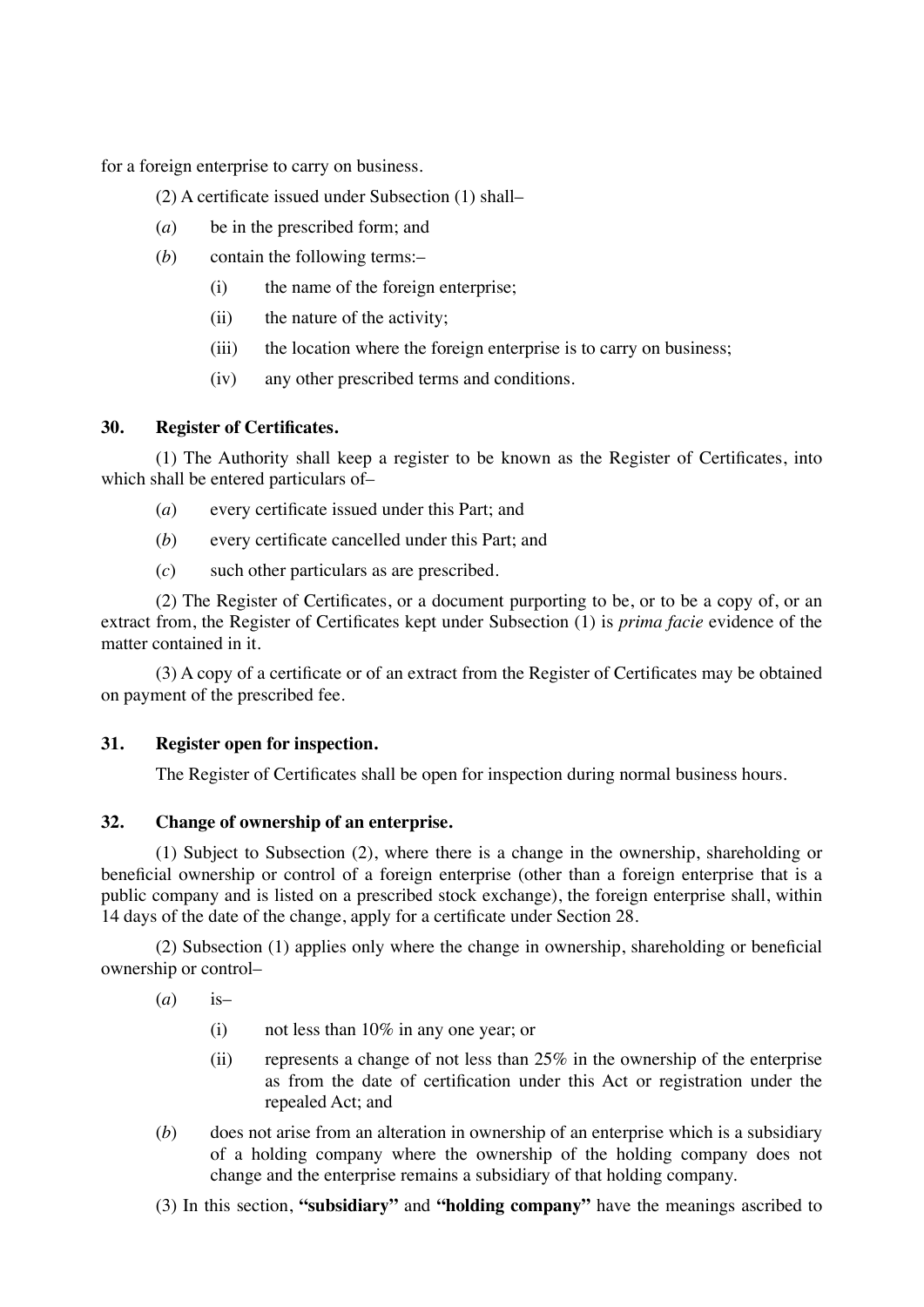for a foreign enterprise to carry on business.

(2) A certificate issued under Subsection (1) shall–

- (*a*) be in the prescribed form; and
- (*b*) contain the following terms:–
	- (i) the name of the foreign enterprise;
	- (ii) the nature of the activity;
	- (iii) the location where the foreign enterprise is to carry on business;
	- (iv) any other prescribed terms and conditions.

### **30. Register of Certificates.**

(1) The Authority shall keep a register to be known as the Register of Certificates, into which shall be entered particulars of–

- (*a*) every certificate issued under this Part; and
- (*b*) every certificate cancelled under this Part; and
- (*c*) such other particulars as are prescribed.

(2) The Register of Certificates, or a document purporting to be, or to be a copy of, or an extract from, the Register of Certificates kept under Subsection (1) is *prima facie* evidence of the matter contained in it.

(3) A copy of a certificate or of an extract from the Register of Certificates may be obtained on payment of the prescribed fee.

### **31. Register open for inspection.**

The Register of Certificates shall be open for inspection during normal business hours.

## **32. Change of ownership of an enterprise.**

(1) Subject to Subsection (2), where there is a change in the ownership, shareholding or beneficial ownership or control of a foreign enterprise (other than a foreign enterprise that is a public company and is listed on a prescribed stock exchange), the foreign enterprise shall, within 14 days of the date of the change, apply for a certificate under Section 28.

(2) Subsection (1) applies only where the change in ownership, shareholding or beneficial ownership or control–

(*a*) is–

- (i) not less than 10% in any one year; or
- (ii) represents a change of not less than  $25\%$  in the ownership of the enterprise as from the date of certification under this Act or registration under the repealed Act; and
- (*b*) does not arise from an alteration in ownership of an enterprise which is a subsidiary of a holding company where the ownership of the holding company does not change and the enterprise remains a subsidiary of that holding company.
- (3) In this section, **"subsidiary"** and **"holding company"** have the meanings ascribed to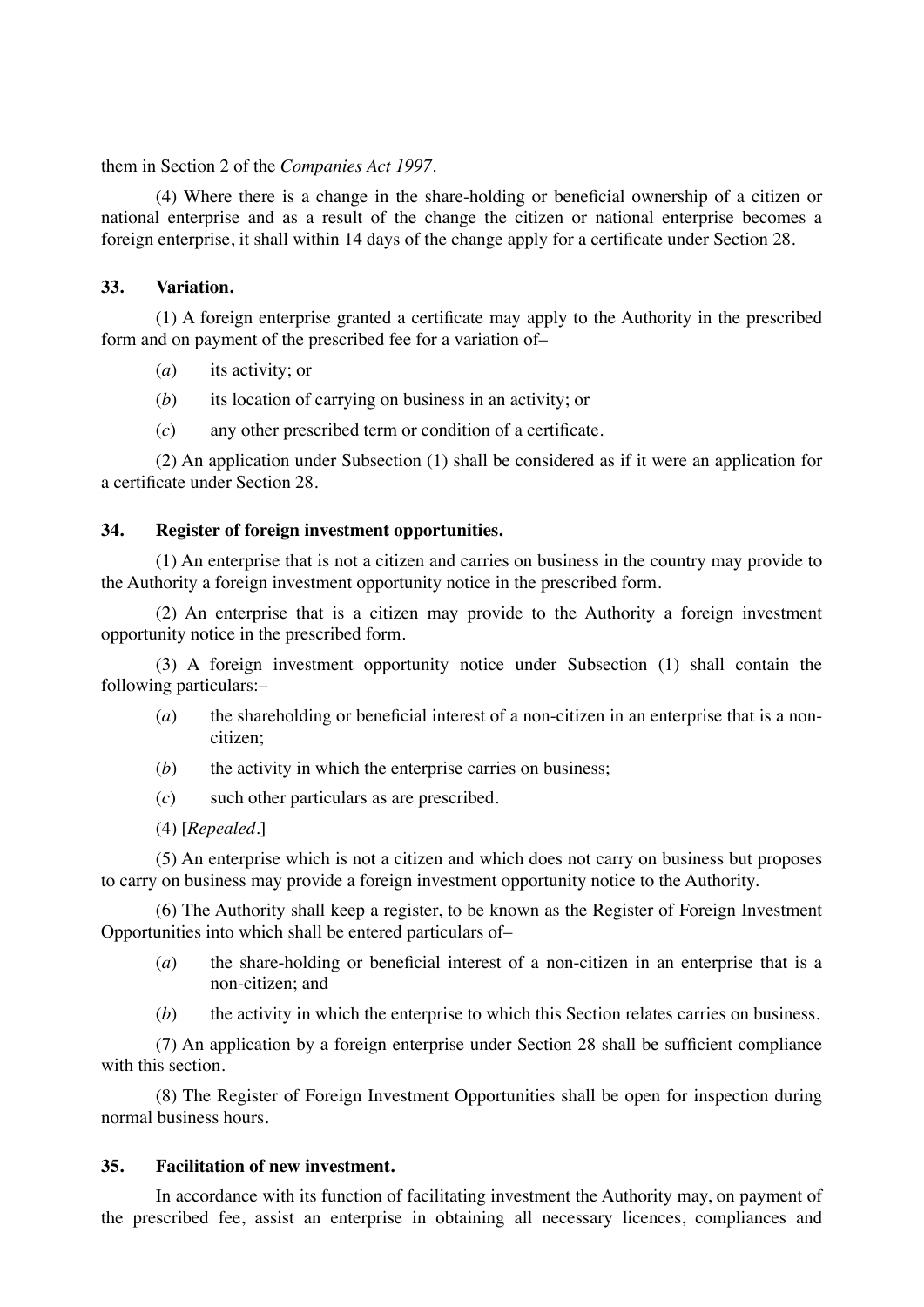them in Section 2 of the *Companies Act 1997*.

(4) Where there is a change in the share-holding or beneficial ownership of a citizen or national enterprise and as a result of the change the citizen or national enterprise becomes a foreign enterprise, it shall within 14 days of the change apply for a certificate under Section 28.

## **33. Variation.**

(1) A foreign enterprise granted a certificate may apply to the Authority in the prescribed form and on payment of the prescribed fee for a variation of–

- (*a*) its activity; or
- (*b*) its location of carrying on business in an activity; or
- (*c*) any other prescribed term or condition of a certificate.

(2) An application under Subsection (1) shall be considered as if it were an application for a certificate under Section 28.

## **34. Register of foreign investment opportunities.**

(1) An enterprise that is not a citizen and carries on business in the country may provide to the Authority a foreign investment opportunity notice in the prescribed form.

(2) An enterprise that is a citizen may provide to the Authority a foreign investment opportunity notice in the prescribed form.

(3) A foreign investment opportunity notice under Subsection (1) shall contain the following particulars:–

- (*a*) the shareholding or beneficial interest of a non-citizen in an enterprise that is a noncitizen;
- (*b*) the activity in which the enterprise carries on business;
- (*c*) such other particulars as are prescribed.
- (4) [*Repealed*.]

(5) An enterprise which is not a citizen and which does not carry on business but proposes to carry on business may provide a foreign investment opportunity notice to the Authority.

(6) The Authority shall keep a register, to be known as the Register of Foreign Investment Opportunities into which shall be entered particulars of–

- (*a*) the share-holding or beneficial interest of a non-citizen in an enterprise that is a non-citizen; and
- (b) the activity in which the enterprise to which this Section relates carries on business.

(7) An application by a foreign enterprise under Section 28 shall be sufficient compliance with this section.

(8) The Register of Foreign Investment Opportunities shall be open for inspection during normal business hours.

## **35. Facilitation of new investment.**

In accordance with its function of facilitating investment the Authority may, on payment of the prescribed fee, assist an enterprise in obtaining all necessary licences, compliances and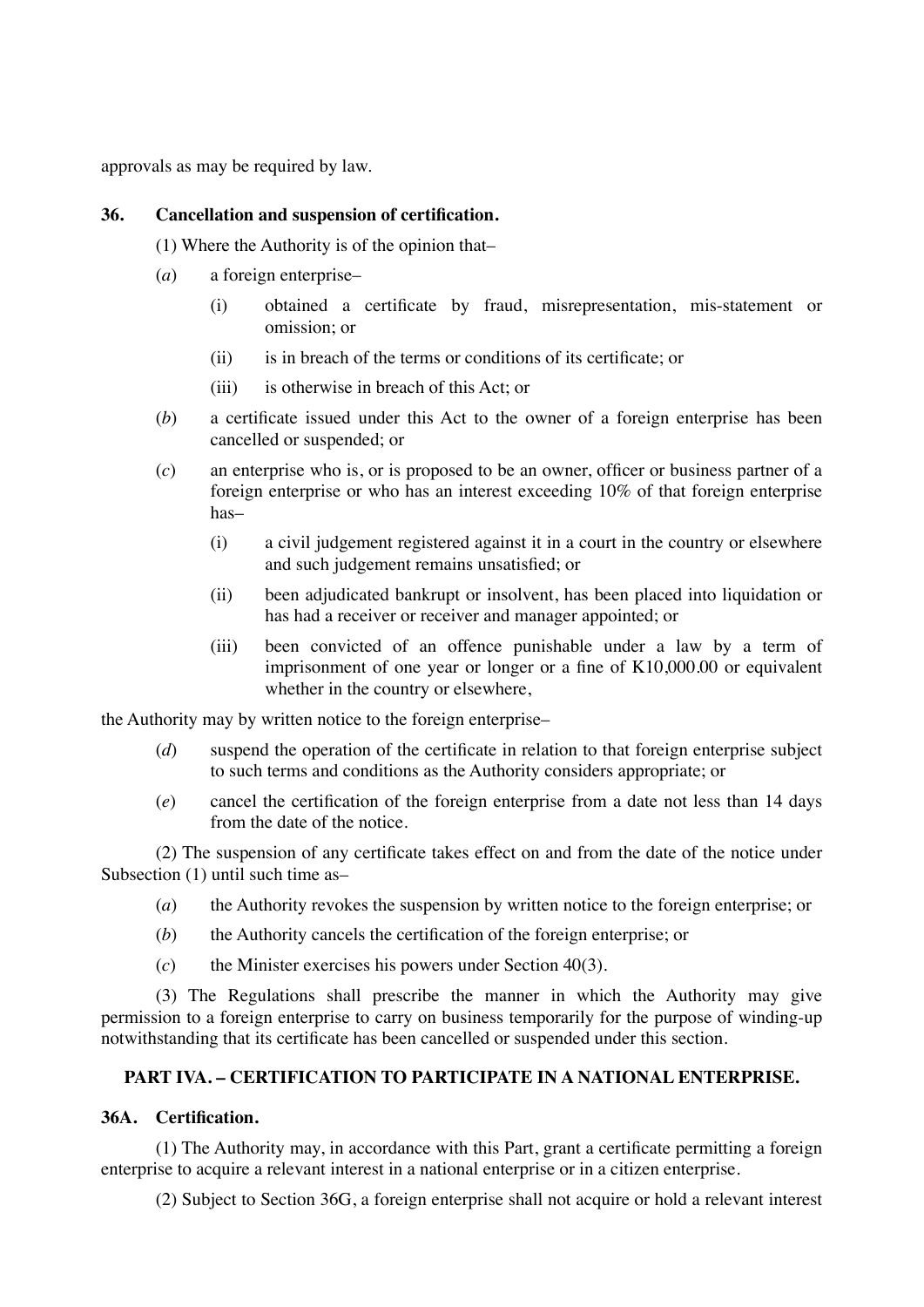approvals as may be required by law.

## **36. Cancellation and suspension of certification.**

(1) Where the Authority is of the opinion that–

- (*a*) a foreign enterprise–
	- (i) obtained a certificate by fraud, misrepresentation, mis-statement or omission; or
	- (ii) is in breach of the terms or conditions of its certificate; or
	- (iii) is otherwise in breach of this Act; or
- (*b*) a certificate issued under this Act to the owner of a foreign enterprise has been cancelled or suspended; or
- (*c*) an enterprise who is, or is proposed to be an owner, officer or business partner of a foreign enterprise or who has an interest exceeding 10% of that foreign enterprise has–
	- (i) a civil judgement registered against it in a court in the country or elsewhere and such judgement remains unsatisfied; or
	- (ii) been adjudicated bankrupt or insolvent, has been placed into liquidation or has had a receiver or receiver and manager appointed; or
	- (iii) been convicted of an offence punishable under a law by a term of imprisonment of one year or longer or a fine of K10,000.00 or equivalent whether in the country or elsewhere,

the Authority may by written notice to the foreign enterprise–

- (*d*) suspend the operation of the certificate in relation to that foreign enterprise subject to such terms and conditions as the Authority considers appropriate; or
- (*e*) cancel the certification of the foreign enterprise from a date not less than 14 days from the date of the notice.

(2) The suspension of any certificate takes effect on and from the date of the notice under Subsection (1) until such time as–

- (*a*) the Authority revokes the suspension by written notice to the foreign enterprise; or
- (*b*) the Authority cancels the certification of the foreign enterprise; or
- (*c*) the Minister exercises his powers under Section 40(3).

(3) The Regulations shall prescribe the manner in which the Authority may give permission to a foreign enterprise to carry on business temporarily for the purpose of winding-up notwithstanding that its certificate has been cancelled or suspended under this section.

## **PART IVA. – CERTIFICATION TO PARTICIPATE IN A NATIONAL ENTERPRISE.**

## **36A. Certification.**

(1) The Authority may, in accordance with this Part, grant a certificate permitting a foreign enterprise to acquire a relevant interest in a national enterprise or in a citizen enterprise.

(2) Subject to Section 36G, a foreign enterprise shall not acquire or hold a relevant interest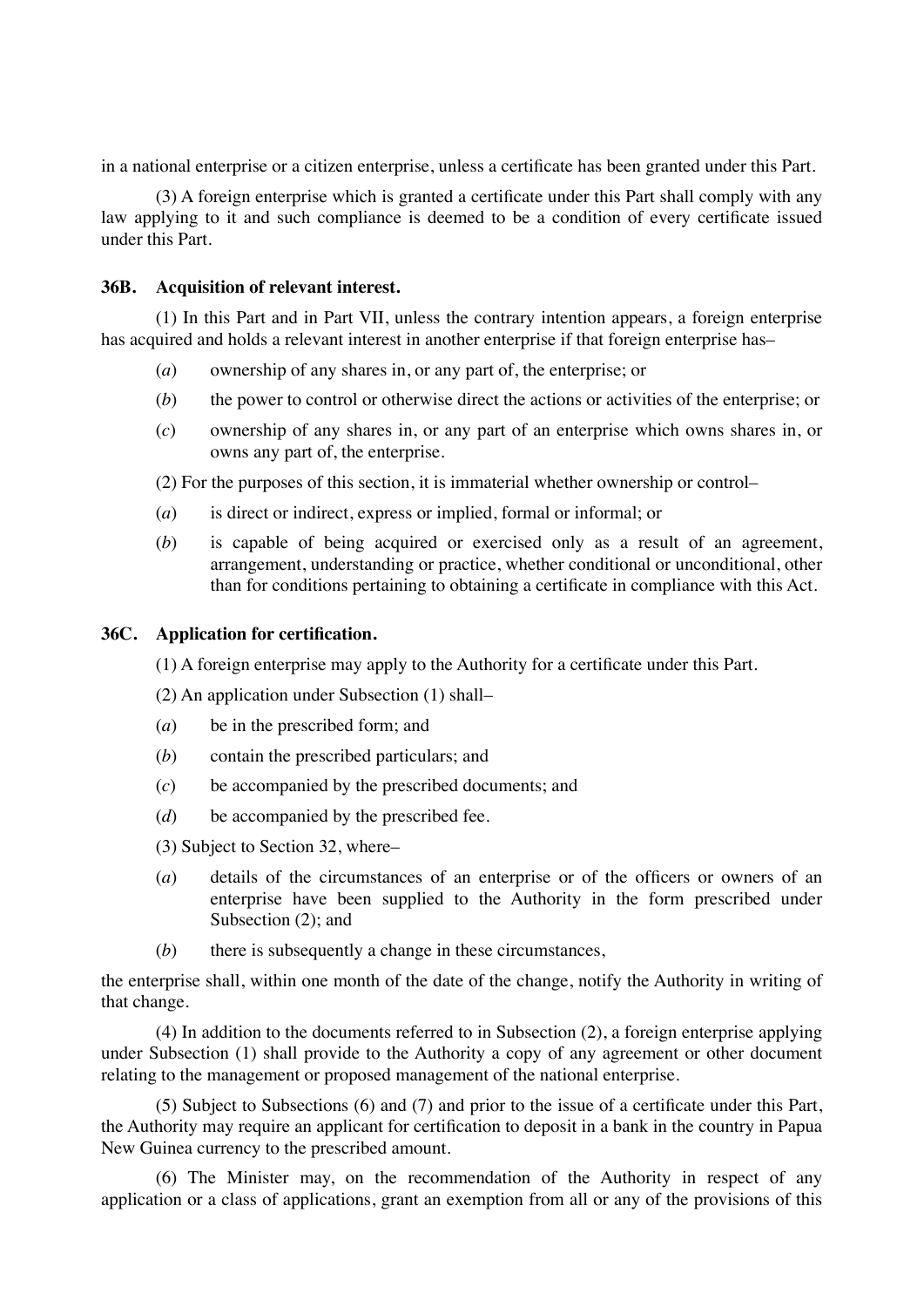in a national enterprise or a citizen enterprise, unless a certificate has been granted under this Part.

(3) A foreign enterprise which is granted a certificate under this Part shall comply with any law applying to it and such compliance is deemed to be a condition of every certificate issued under this Part.

## **36B. Acquisition of relevant interest.**

(1) In this Part and in Part VII, unless the contrary intention appears, a foreign enterprise has acquired and holds a relevant interest in another enterprise if that foreign enterprise has–

- (*a*) ownership of any shares in, or any part of, the enterprise; or
- (*b*) the power to control or otherwise direct the actions or activities of the enterprise; or
- (*c*) ownership of any shares in, or any part of an enterprise which owns shares in, or owns any part of, the enterprise.

(2) For the purposes of this section, it is immaterial whether ownership or control–

- (*a*) is direct or indirect, express or implied, formal or informal; or
- (*b*) is capable of being acquired or exercised only as a result of an agreement, arrangement, understanding or practice, whether conditional or unconditional, other than for conditions pertaining to obtaining a certificate in compliance with this Act.

### **36C. Application for certification.**

(1) A foreign enterprise may apply to the Authority for a certificate under this Part.

(2) An application under Subsection (1) shall–

- (*a*) be in the prescribed form; and
- (*b*) contain the prescribed particulars; and
- (*c*) be accompanied by the prescribed documents; and
- (*d*) be accompanied by the prescribed fee.
- (3) Subject to Section 32, where–
- (*a*) details of the circumstances of an enterprise or of the officers or owners of an enterprise have been supplied to the Authority in the form prescribed under Subsection (2); and
- (*b*) there is subsequently a change in these circumstances,

the enterprise shall, within one month of the date of the change, notify the Authority in writing of that change.

(4) In addition to the documents referred to in Subsection (2), a foreign enterprise applying under Subsection (1) shall provide to the Authority a copy of any agreement or other document relating to the management or proposed management of the national enterprise.

(5) Subject to Subsections (6) and (7) and prior to the issue of a certificate under this Part, the Authority may require an applicant for certification to deposit in a bank in the country in Papua New Guinea currency to the prescribed amount.

(6) The Minister may, on the recommendation of the Authority in respect of any application or a class of applications, grant an exemption from all or any of the provisions of this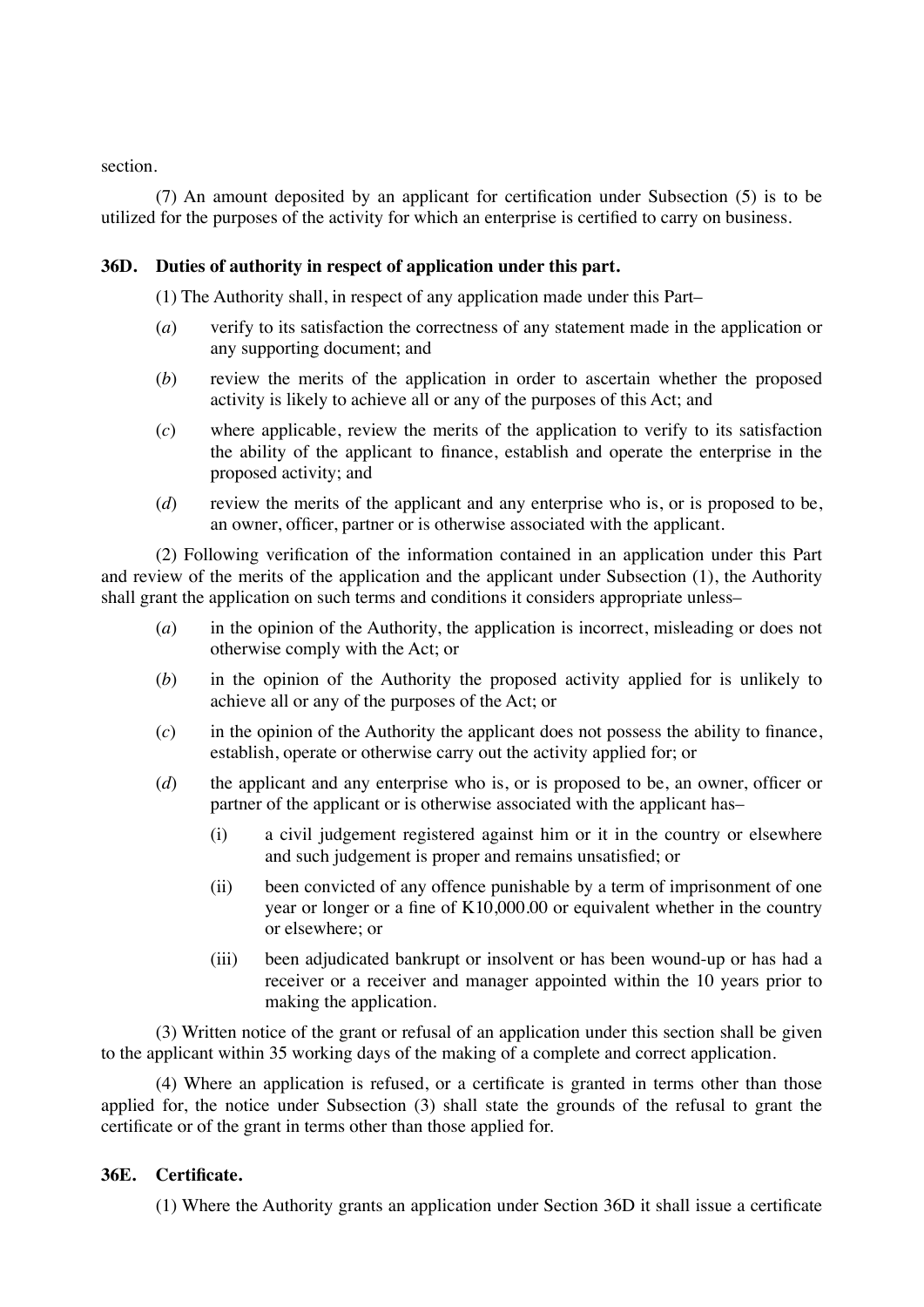section.

(7) An amount deposited by an applicant for certification under Subsection (5) is to be utilized for the purposes of the activity for which an enterprise is certified to carry on business.

## **36D. Duties of authority in respect of application under this part.**

(1) The Authority shall, in respect of any application made under this Part–

- (*a*) verify to its satisfaction the correctness of any statement made in the application or any supporting document; and
- (*b*) review the merits of the application in order to ascertain whether the proposed activity is likely to achieve all or any of the purposes of this Act; and
- (*c*) where applicable, review the merits of the application to verify to its satisfaction the ability of the applicant to finance, establish and operate the enterprise in the proposed activity; and
- (*d*) review the merits of the applicant and any enterprise who is, or is proposed to be, an owner, officer, partner or is otherwise associated with the applicant.

(2) Following verification of the information contained in an application under this Part and review of the merits of the application and the applicant under Subsection (1), the Authority shall grant the application on such terms and conditions it considers appropriate unless–

- (*a*) in the opinion of the Authority, the application is incorrect, misleading or does not otherwise comply with the Act; or
- (*b*) in the opinion of the Authority the proposed activity applied for is unlikely to achieve all or any of the purposes of the Act; or
- (*c*) in the opinion of the Authority the applicant does not possess the ability to finance, establish, operate or otherwise carry out the activity applied for; or
- (*d*) the applicant and any enterprise who is, or is proposed to be, an owner, officer or partner of the applicant or is otherwise associated with the applicant has–
	- (i) a civil judgement registered against him or it in the country or elsewhere and such judgement is proper and remains unsatisfied; or
	- (ii) been convicted of any offence punishable by a term of imprisonment of one year or longer or a fine of K10,000.00 or equivalent whether in the country or elsewhere; or
	- (iii) been adjudicated bankrupt or insolvent or has been wound-up or has had a receiver or a receiver and manager appointed within the 10 years prior to making the application.

(3) Written notice of the grant or refusal of an application under this section shall be given to the applicant within 35 working days of the making of a complete and correct application.

(4) Where an application is refused, or a certificate is granted in terms other than those applied for, the notice under Subsection (3) shall state the grounds of the refusal to grant the certificate or of the grant in terms other than those applied for.

#### **36E. Certificate.**

(1) Where the Authority grants an application under Section 36D it shall issue a certificate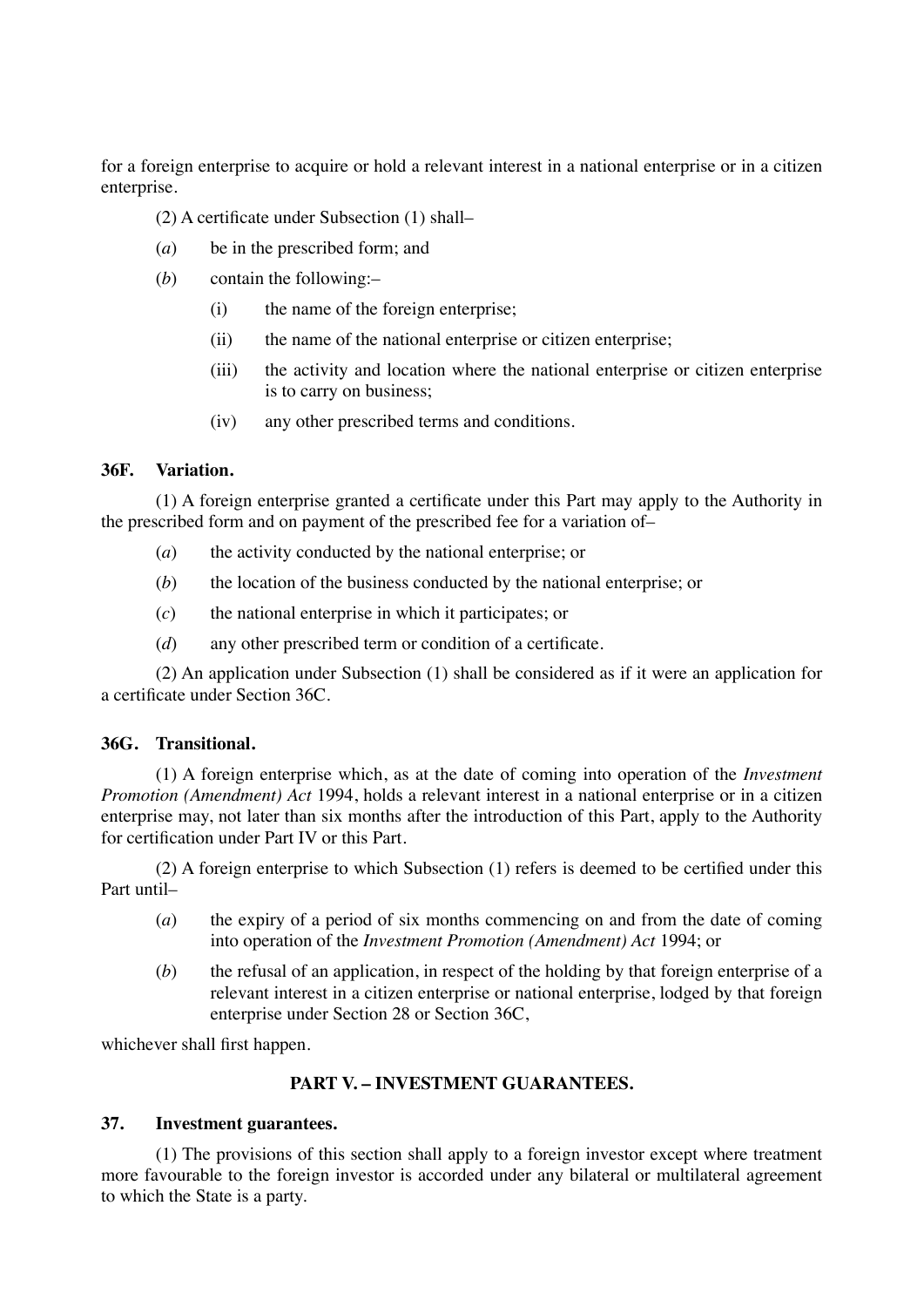for a foreign enterprise to acquire or hold a relevant interest in a national enterprise or in a citizen enterprise.

(2) A certificate under Subsection (1) shall–

- (*a*) be in the prescribed form; and
- (*b*) contain the following:–
	- (i) the name of the foreign enterprise;
	- (ii) the name of the national enterprise or citizen enterprise;
	- (iii) the activity and location where the national enterprise or citizen enterprise is to carry on business;
	- (iv) any other prescribed terms and conditions.

### **36F. Variation.**

(1) A foreign enterprise granted a certificate under this Part may apply to the Authority in the prescribed form and on payment of the prescribed fee for a variation of–

- (*a*) the activity conducted by the national enterprise; or
- (*b*) the location of the business conducted by the national enterprise; or
- (*c*) the national enterprise in which it participates; or
- (*d*) any other prescribed term or condition of a certificate.

(2) An application under Subsection (1) shall be considered as if it were an application for a certificate under Section 36C.

### **36G. Transitional.**

(1) A foreign enterprise which, as at the date of coming into operation of the *Investment Promotion (Amendment) Act* 1994, holds a relevant interest in a national enterprise or in a citizen enterprise may, not later than six months after the introduction of this Part, apply to the Authority for certification under Part IV or this Part.

(2) A foreign enterprise to which Subsection (1) refers is deemed to be certified under this Part until–

- (*a*) the expiry of a period of six months commencing on and from the date of coming into operation of the *Investment Promotion (Amendment) Act* 1994; or
- (*b*) the refusal of an application, in respect of the holding by that foreign enterprise of a relevant interest in a citizen enterprise or national enterprise, lodged by that foreign enterprise under Section 28 or Section 36C,

whichever shall first happen.

## **PART V. – INVESTMENT GUARANTEES.**

## **37. Investment guarantees.**

(1) The provisions of this section shall apply to a foreign investor except where treatment more favourable to the foreign investor is accorded under any bilateral or multilateral agreement to which the State is a party.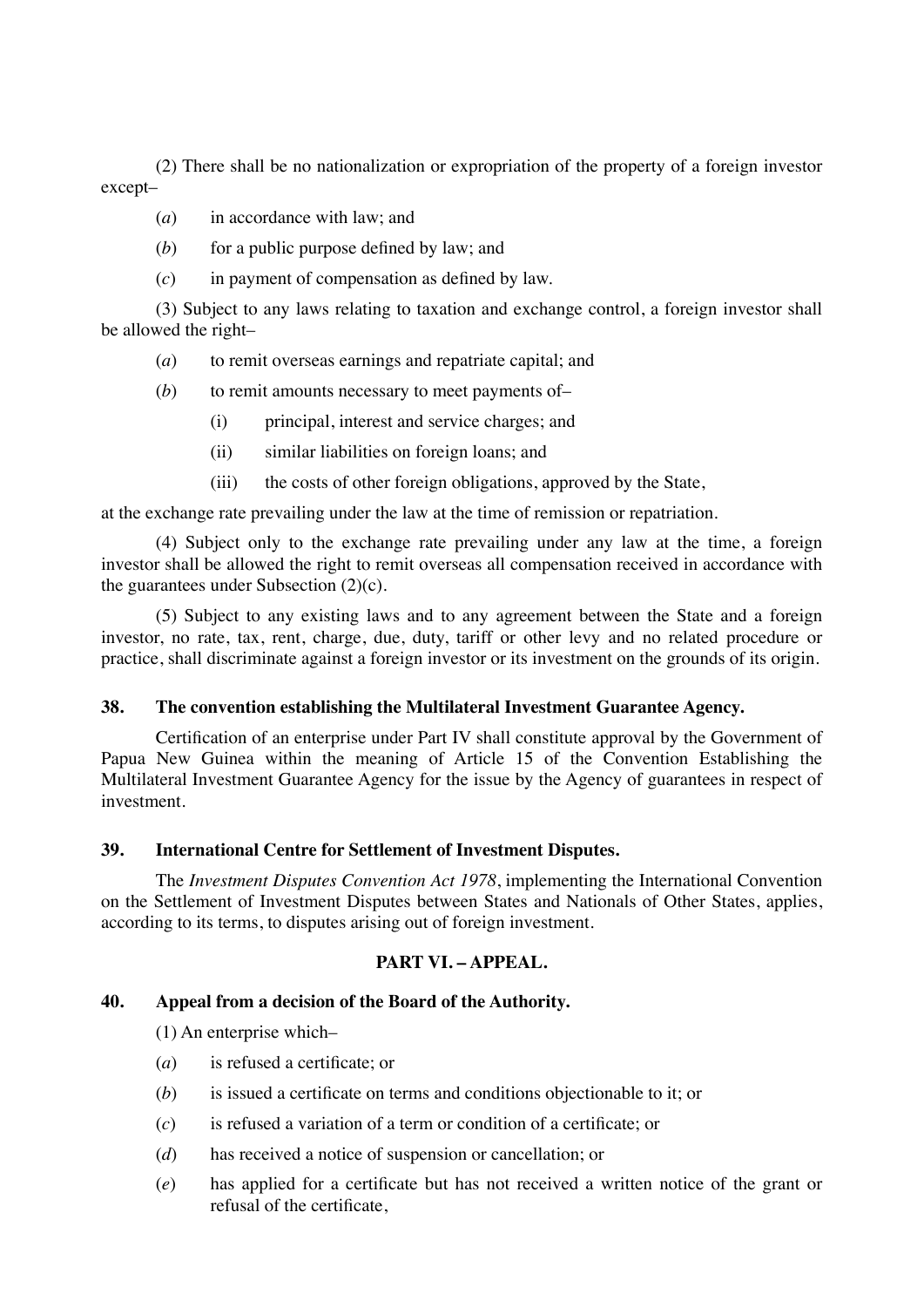(2) There shall be no nationalization or expropriation of the property of a foreign investor except–

- (*a*) in accordance with law; and
- $(b)$  for a public purpose defined by law; and
- (*c*) in payment of compensation as defined by law.

(3) Subject to any laws relating to taxation and exchange control, a foreign investor shall be allowed the right–

- (*a*) to remit overseas earnings and repatriate capital; and
- (*b*) to remit amounts necessary to meet payments of–
	- (i) principal, interest and service charges; and
	- (ii) similar liabilities on foreign loans; and
	- (iii) the costs of other foreign obligations, approved by the State,

at the exchange rate prevailing under the law at the time of remission or repatriation.

(4) Subject only to the exchange rate prevailing under any law at the time, a foreign investor shall be allowed the right to remit overseas all compensation received in accordance with the guarantees under Subsection  $(2)(c)$ .

(5) Subject to any existing laws and to any agreement between the State and a foreign investor, no rate, tax, rent, charge, due, duty, tariff or other levy and no related procedure or practice, shall discriminate against a foreign investor or its investment on the grounds of its origin.

## **38. The convention establishing the Multilateral Investment Guarantee Agency.**

Certification of an enterprise under Part IV shall constitute approval by the Government of Papua New Guinea within the meaning of Article 15 of the Convention Establishing the Multilateral Investment Guarantee Agency for the issue by the Agency of guarantees in respect of investment.

### **39. International Centre for Settlement of Investment Disputes.**

The *Investment Disputes Convention Act 1978*, implementing the International Convention on the Settlement of Investment Disputes between States and Nationals of Other States, applies, according to its terms, to disputes arising out of foreign investment.

## **PART VI. – APPEAL.**

#### **40. Appeal from a decision of the Board of the Authority.**

(1) An enterprise which–

- (*a*) is refused a certificate; or
- (*b*) is issued a certificate on terms and conditions objectionable to it; or
- (*c*) is refused a variation of a term or condition of a certificate; or
- (*d*) has received a notice of suspension or cancellation; or
- (*e*) has applied for a certificate but has not received a written notice of the grant or refusal of the certificate,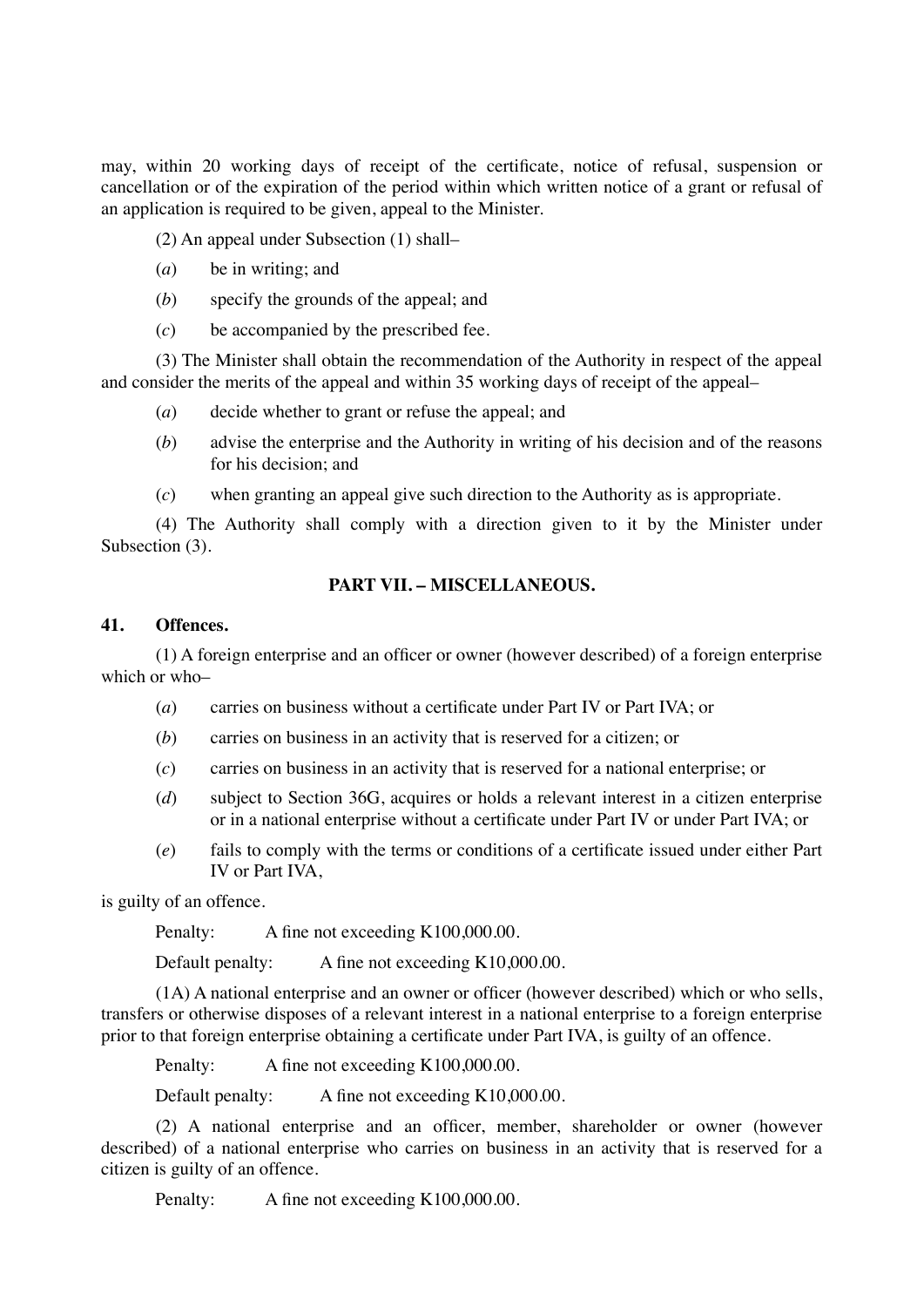may, within 20 working days of receipt of the certificate, notice of refusal, suspension or cancellation or of the expiration of the period within which written notice of a grant or refusal of an application is required to be given, appeal to the Minister.

(2) An appeal under Subsection (1) shall–

- (*a*) be in writing; and
- (*b*) specify the grounds of the appeal; and
- (*c*) be accompanied by the prescribed fee.

(3) The Minister shall obtain the recommendation of the Authority in respect of the appeal and consider the merits of the appeal and within 35 working days of receipt of the appeal–

- (*a*) decide whether to grant or refuse the appeal; and
- (*b*) advise the enterprise and the Authority in writing of his decision and of the reasons for his decision; and
- (*c*) when granting an appeal give such direction to the Authority as is appropriate.

(4) The Authority shall comply with a direction given to it by the Minister under Subsection  $(3)$ .

### **PART VII. – MISCELLANEOUS.**

## **41. Offences.**

(1) A foreign enterprise and an officer or owner (however described) of a foreign enterprise which or who–

- (*a*) carries on business without a certificate under Part IV or Part IVA; or
- (*b*) carries on business in an activity that is reserved for a citizen; or
- (*c*) carries on business in an activity that is reserved for a national enterprise; or
- (*d*) subject to Section 36G, acquires or holds a relevant interest in a citizen enterprise or in a national enterprise without a certificate under Part IV or under Part IVA; or
- (*e*) fails to comply with the terms or conditions of a certificate issued under either Part IV or Part IVA,

is guilty of an offence.

Penalty: A fine not exceeding K100,000.00.

Default penalty: A fine not exceeding K10,000.00.

(1A) A national enterprise and an owner or officer (however described) which or who sells, transfers or otherwise disposes of a relevant interest in a national enterprise to a foreign enterprise prior to that foreign enterprise obtaining a certificate under Part IVA, is guilty of an offence.

Penalty: A fine not exceeding K100,000.00.

Default penalty: A fine not exceeding K10,000.00.

(2) A national enterprise and an officer, member, shareholder or owner (however described) of a national enterprise who carries on business in an activity that is reserved for a citizen is guilty of an offence.

Penalty: A fine not exceeding K100,000.00.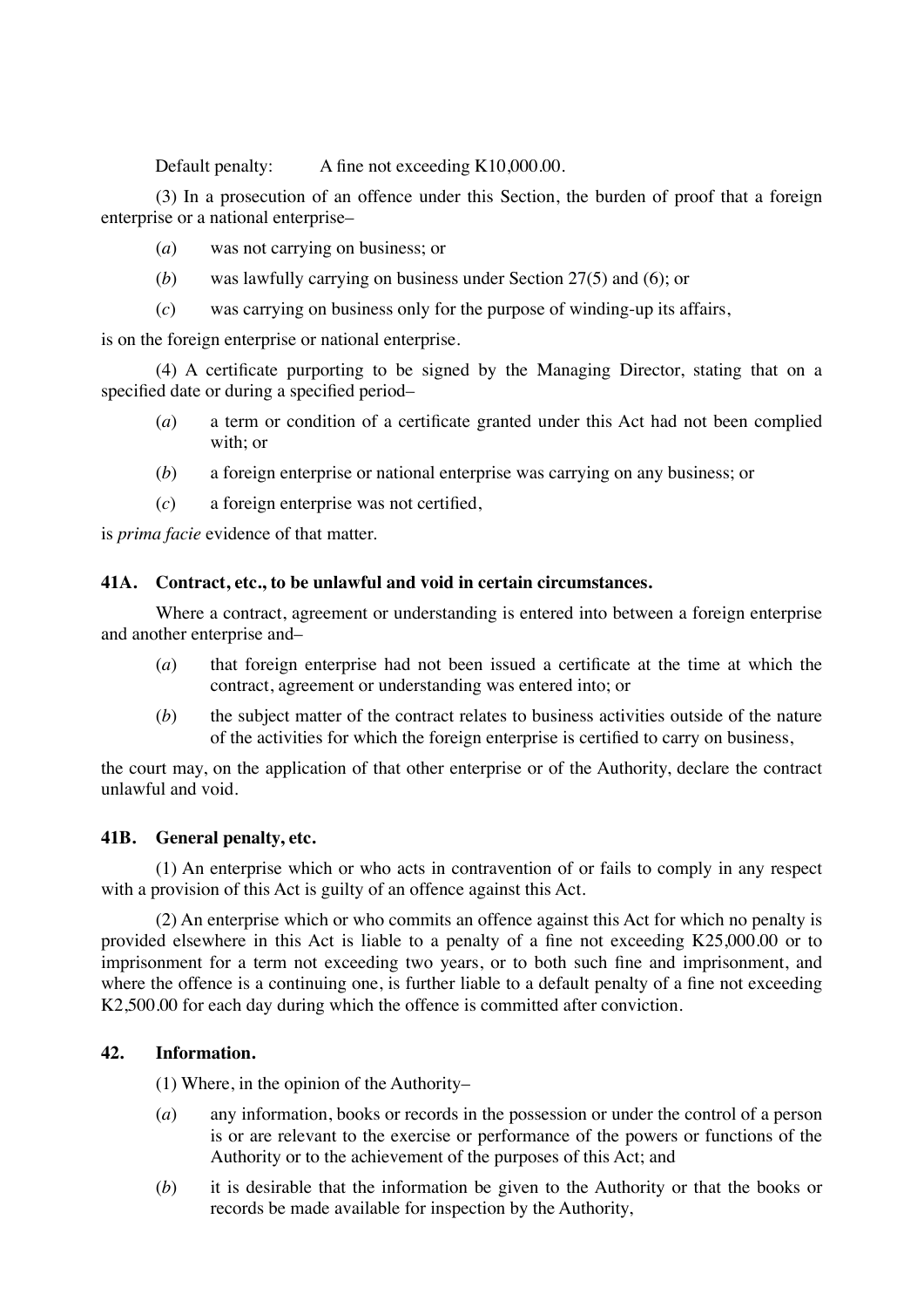Default penalty: A fine not exceeding K10,000.00.

(3) In a prosecution of an offence under this Section, the burden of proof that a foreign enterprise or a national enterprise–

- (*a*) was not carrying on business; or
- (*b*) was lawfully carrying on business under Section 27(5) and (6); or
- (*c*) was carrying on business only for the purpose of winding-up its affairs,

is on the foreign enterprise or national enterprise.

(4) A certificate purporting to be signed by the Managing Director, stating that on a specified date or during a specified period–

- (*a*) a term or condition of a certificate granted under this Act had not been complied with; or
- (*b*) a foreign enterprise or national enterprise was carrying on any business; or
- (*c*) a foreign enterprise was not certified,

is *prima facie* evidence of that matter.

### **41A. Contract, etc., to be unlawful and void in certain circumstances.**

Where a contract, agreement or understanding is entered into between a foreign enterprise and another enterprise and–

- (*a*) that foreign enterprise had not been issued a certificate at the time at which the contract, agreement or understanding was entered into; or
- (*b*) the subject matter of the contract relates to business activities outside of the nature of the activities for which the foreign enterprise is certified to carry on business,

the court may, on the application of that other enterprise or of the Authority, declare the contract unlawful and void.

#### **41B. General penalty, etc.**

(1) An enterprise which or who acts in contravention of or fails to comply in any respect with a provision of this Act is guilty of an offence against this Act.

(2) An enterprise which or who commits an offence against this Act for which no penalty is provided elsewhere in this Act is liable to a penalty of a fine not exceeding K25,000.00 or to imprisonment for a term not exceeding two years, or to both such fine and imprisonment, and where the offence is a continuing one, is further liable to a default penalty of a fine not exceeding K2,500.00 for each day during which the offence is committed after conviction.

## **42. Information.**

(1) Where, in the opinion of the Authority–

- (*a*) any information, books or records in the possession or under the control of a person is or are relevant to the exercise or performance of the powers or functions of the Authority or to the achievement of the purposes of this Act; and
- (*b*) it is desirable that the information be given to the Authority or that the books or records be made available for inspection by the Authority,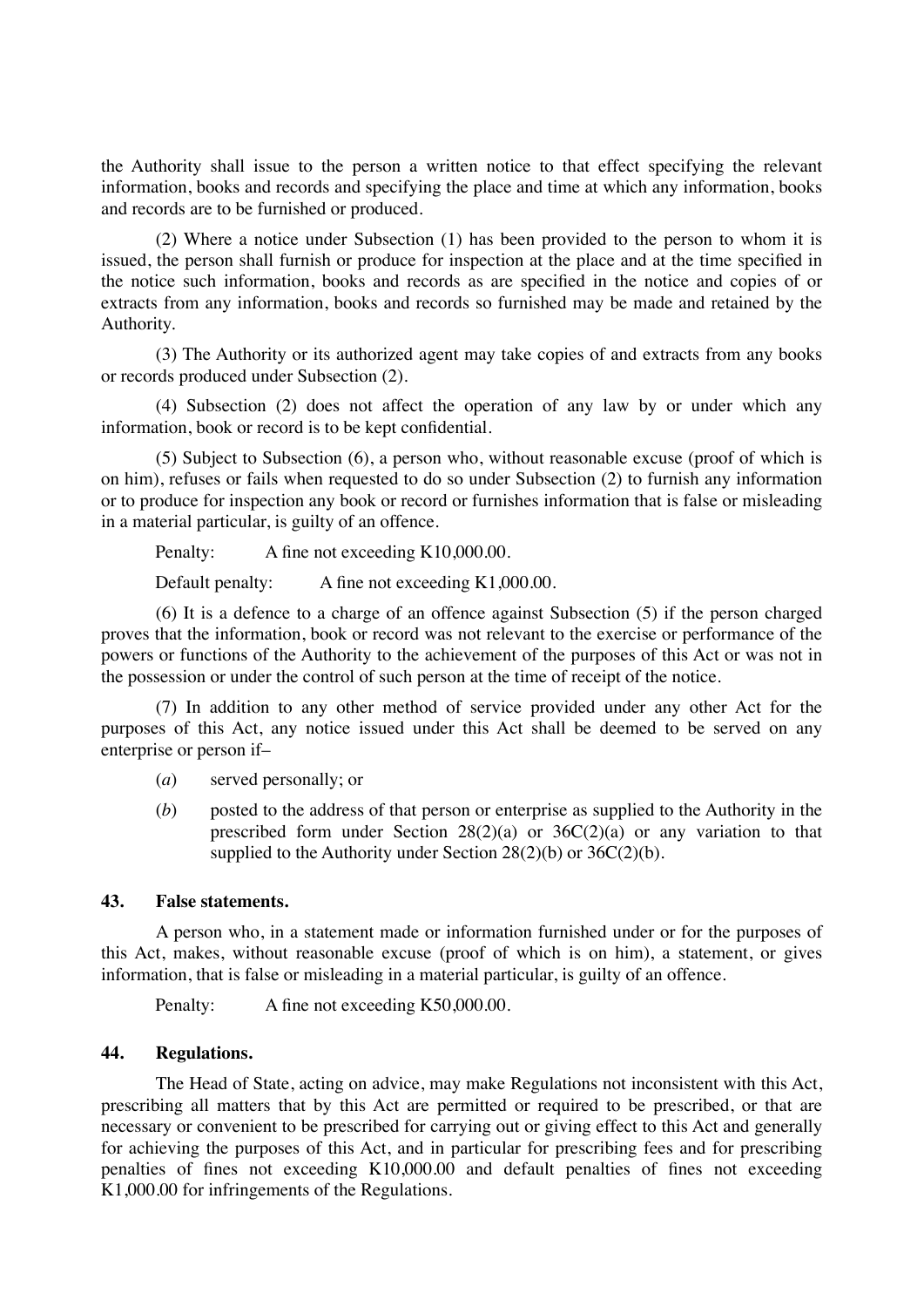the Authority shall issue to the person a written notice to that effect specifying the relevant information, books and records and specifying the place and time at which any information, books and records are to be furnished or produced.

(2) Where a notice under Subsection (1) has been provided to the person to whom it is issued, the person shall furnish or produce for inspection at the place and at the time specified in the notice such information, books and records as are specified in the notice and copies of or extracts from any information, books and records so furnished may be made and retained by the Authority.

(3) The Authority or its authorized agent may take copies of and extracts from any books or records produced under Subsection (2).

(4) Subsection (2) does not affect the operation of any law by or under which any information, book or record is to be kept confidential.

(5) Subject to Subsection (6), a person who, without reasonable excuse (proof of which is on him), refuses or fails when requested to do so under Subsection (2) to furnish any information or to produce for inspection any book or record or furnishes information that is false or misleading in a material particular, is guilty of an offence.

Penalty: A fine not exceeding K10,000.00.

Default penalty: A fine not exceeding K1,000.00.

(6) It is a defence to a charge of an offence against Subsection (5) if the person charged proves that the information, book or record was not relevant to the exercise or performance of the powers or functions of the Authority to the achievement of the purposes of this Act or was not in the possession or under the control of such person at the time of receipt of the notice.

(7) In addition to any other method of service provided under any other Act for the purposes of this Act, any notice issued under this Act shall be deemed to be served on any enterprise or person if–

- (*a*) served personally; or
- (*b*) posted to the address of that person or enterprise as supplied to the Authority in the prescribed form under Section  $28(2)(a)$  or  $36C(2)(a)$  or any variation to that supplied to the Authority under Section 28(2)(b) or 36C(2)(b).

#### **43. False statements.**

A person who, in a statement made or information furnished under or for the purposes of this Act, makes, without reasonable excuse (proof of which is on him), a statement, or gives information, that is false or misleading in a material particular, is guilty of an offence.

Penalty: A fine not exceeding K50,000.00.

### **44. Regulations.**

The Head of State, acting on advice, may make Regulations not inconsistent with this Act, prescribing all matters that by this Act are permitted or required to be prescribed, or that are necessary or convenient to be prescribed for carrying out or giving effect to this Act and generally for achieving the purposes of this Act, and in particular for prescribing fees and for prescribing penalties of fines not exceeding K10,000.00 and default penalties of fines not exceeding K1,000.00 for infringements of the Regulations.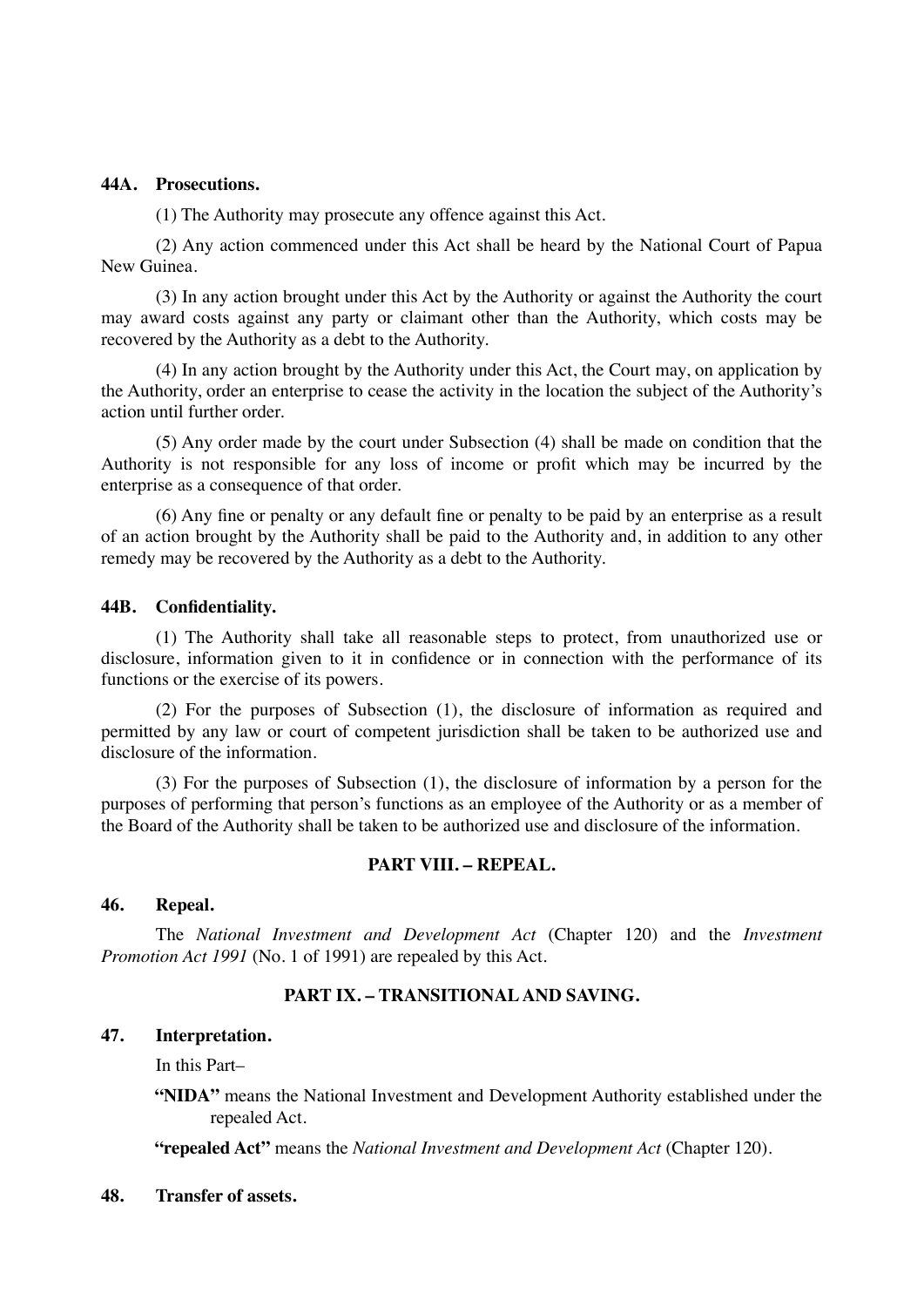#### **44A. Prosecutions.**

(1) The Authority may prosecute any offence against this Act.

(2) Any action commenced under this Act shall be heard by the National Court of Papua New Guinea.

(3) In any action brought under this Act by the Authority or against the Authority the court may award costs against any party or claimant other than the Authority, which costs may be recovered by the Authority as a debt to the Authority.

(4) In any action brought by the Authority under this Act, the Court may, on application by the Authority, order an enterprise to cease the activity in the location the subject of the Authority's action until further order.

(5) Any order made by the court under Subsection (4) shall be made on condition that the Authority is not responsible for any loss of income or profit which may be incurred by the enterprise as a consequence of that order.

(6) Any fine or penalty or any default fine or penalty to be paid by an enterprise as a result of an action brought by the Authority shall be paid to the Authority and, in addition to any other remedy may be recovered by the Authority as a debt to the Authority.

#### **44B. Confidentiality.**

(1) The Authority shall take all reasonable steps to protect, from unauthorized use or disclosure, information given to it in confidence or in connection with the performance of its functions or the exercise of its powers.

(2) For the purposes of Subsection (1), the disclosure of information as required and permitted by any law or court of competent jurisdiction shall be taken to be authorized use and disclosure of the information.

(3) For the purposes of Subsection (1), the disclosure of information by a person for the purposes of performing that person's functions as an employee of the Authority or as a member of the Board of the Authority shall be taken to be authorized use and disclosure of the information.

## **PART VIII. – REPEAL.**

#### **46. Repeal.**

The *National Investment and Development Act* (Chapter 120) and the *Investment Promotion Act 1991* (No. 1 of 1991) are repealed by this Act.

## **PART IX. – TRANSITIONAL AND SAVING.**

### **47. Interpretation.**

In this Part–

**"NIDA"** means the National Investment and Development Authority established under the repealed Act.

**"repealed Act"** means the *National Investment and Development Act* (Chapter 120).

#### **48. Transfer of assets.**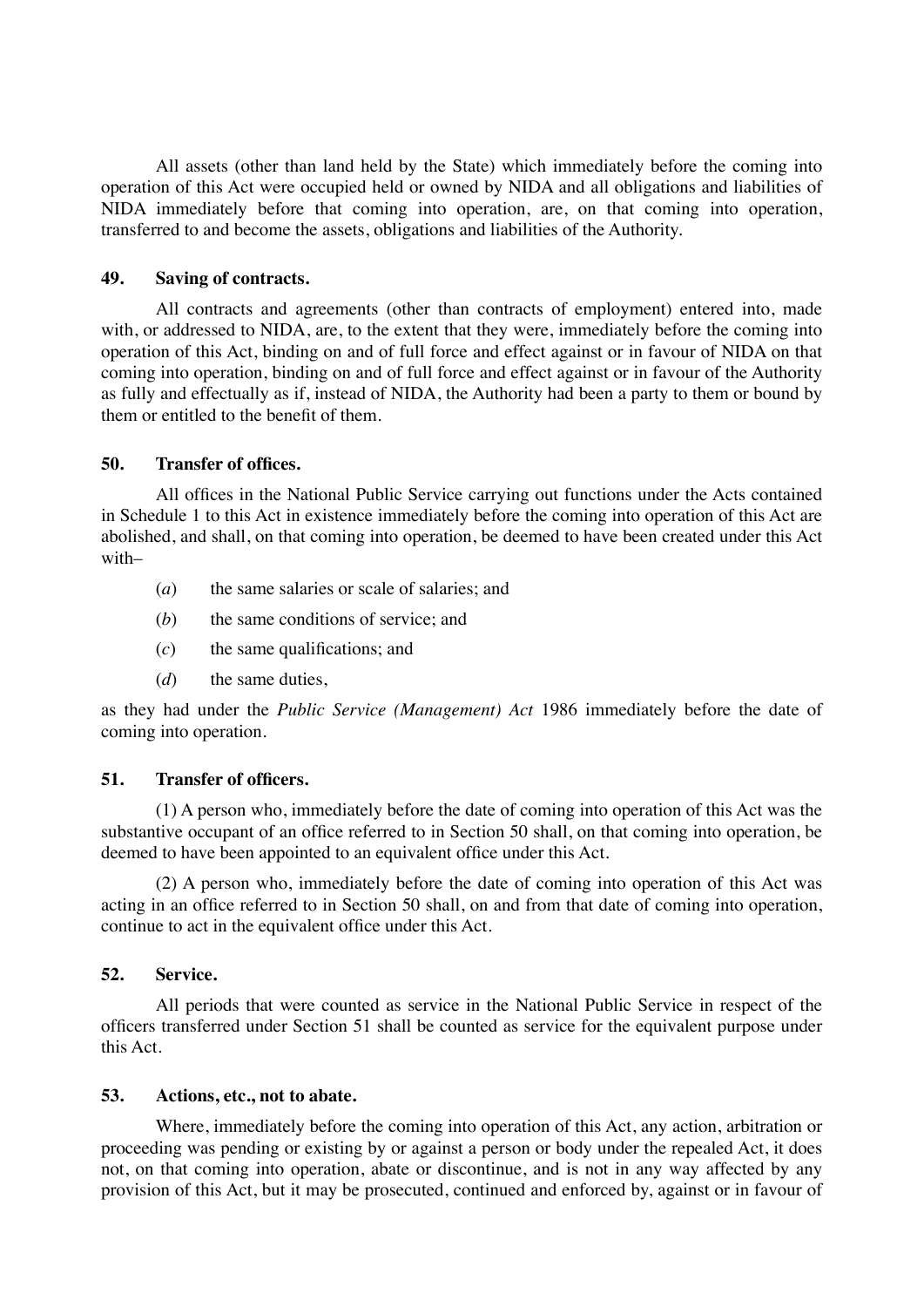All assets (other than land held by the State) which immediately before the coming into operation of this Act were occupied held or owned by NIDA and all obligations and liabilities of NIDA immediately before that coming into operation, are, on that coming into operation, transferred to and become the assets, obligations and liabilities of the Authority.

### **49. Saving of contracts.**

All contracts and agreements (other than contracts of employment) entered into, made with, or addressed to NIDA, are, to the extent that they were, immediately before the coming into operation of this Act, binding on and of full force and effect against or in favour of NIDA on that coming into operation, binding on and of full force and effect against or in favour of the Authority as fully and effectually as if, instead of NIDA, the Authority had been a party to them or bound by them or entitled to the benefit of them.

### **50. Transfer of offices.**

All offices in the National Public Service carrying out functions under the Acts contained in Schedule 1 to this Act in existence immediately before the coming into operation of this Act are abolished, and shall, on that coming into operation, be deemed to have been created under this Act with–

- (*a*) the same salaries or scale of salaries; and
- (*b*) the same conditions of service; and
- (*c*) the same qualifications; and
- (*d*) the same duties,

as they had under the *Public Service (Management) Act* 1986 immediately before the date of coming into operation.

## **51. Transfer of officers.**

(1) A person who, immediately before the date of coming into operation of this Act was the substantive occupant of an office referred to in Section 50 shall, on that coming into operation, be deemed to have been appointed to an equivalent office under this Act.

(2) A person who, immediately before the date of coming into operation of this Act was acting in an office referred to in Section 50 shall, on and from that date of coming into operation, continue to act in the equivalent office under this Act.

#### **52. Service.**

All periods that were counted as service in the National Public Service in respect of the officers transferred under Section 51 shall be counted as service for the equivalent purpose under this Act.

## **53. Actions, etc., not to abate.**

Where, immediately before the coming into operation of this Act, any action, arbitration or proceeding was pending or existing by or against a person or body under the repealed Act, it does not, on that coming into operation, abate or discontinue, and is not in any way affected by any provision of this Act, but it may be prosecuted, continued and enforced by, against or in favour of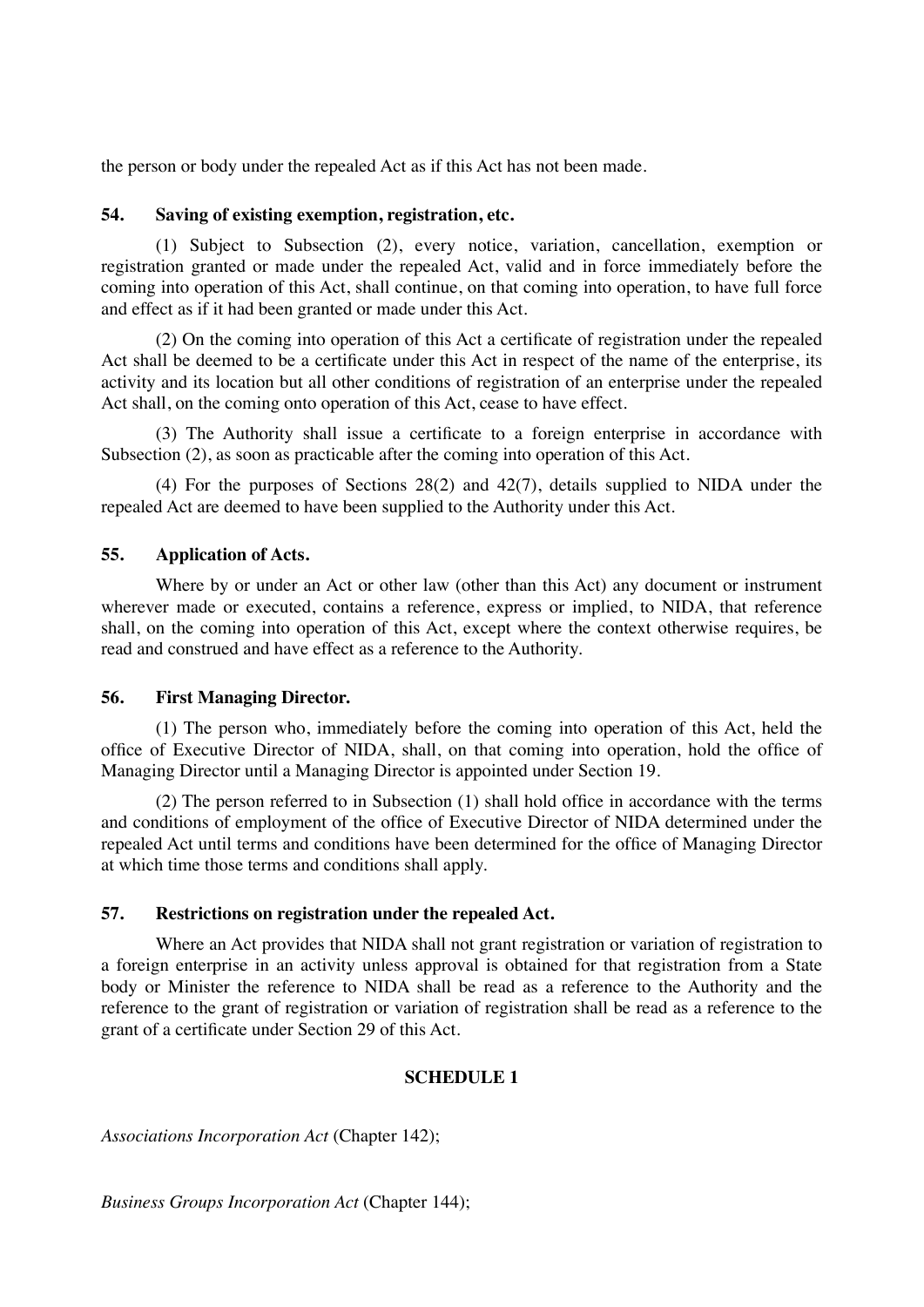the person or body under the repealed Act as if this Act has not been made.

## **54. Saving of existing exemption, registration, etc.**

(1) Subject to Subsection (2), every notice, variation, cancellation, exemption or registration granted or made under the repealed Act, valid and in force immediately before the coming into operation of this Act, shall continue, on that coming into operation, to have full force and effect as if it had been granted or made under this Act.

(2) On the coming into operation of this Act a certificate of registration under the repealed Act shall be deemed to be a certificate under this Act in respect of the name of the enterprise, its activity and its location but all other conditions of registration of an enterprise under the repealed Act shall, on the coming onto operation of this Act, cease to have effect.

(3) The Authority shall issue a certificate to a foreign enterprise in accordance with Subsection (2), as soon as practicable after the coming into operation of this Act.

(4) For the purposes of Sections 28(2) and 42(7), details supplied to NIDA under the repealed Act are deemed to have been supplied to the Authority under this Act.

## **55. Application of Acts.**

Where by or under an Act or other law (other than this Act) any document or instrument wherever made or executed, contains a reference, express or implied, to NIDA, that reference shall, on the coming into operation of this Act, except where the context otherwise requires, be read and construed and have effect as a reference to the Authority.

#### **56. First Managing Director.**

(1) The person who, immediately before the coming into operation of this Act, held the office of Executive Director of NIDA, shall, on that coming into operation, hold the office of Managing Director until a Managing Director is appointed under Section 19.

(2) The person referred to in Subsection (1) shall hold office in accordance with the terms and conditions of employment of the office of Executive Director of NIDA determined under the repealed Act until terms and conditions have been determined for the office of Managing Director at which time those terms and conditions shall apply.

## **57. Restrictions on registration under the repealed Act.**

Where an Act provides that NIDA shall not grant registration or variation of registration to a foreign enterprise in an activity unless approval is obtained for that registration from a State body or Minister the reference to NIDA shall be read as a reference to the Authority and the reference to the grant of registration or variation of registration shall be read as a reference to the grant of a certificate under Section 29 of this Act.

## **SCHEDULE 1**

*Associations Incorporation Act* (Chapter 142);

*Business Groups Incorporation Act* (Chapter 144);